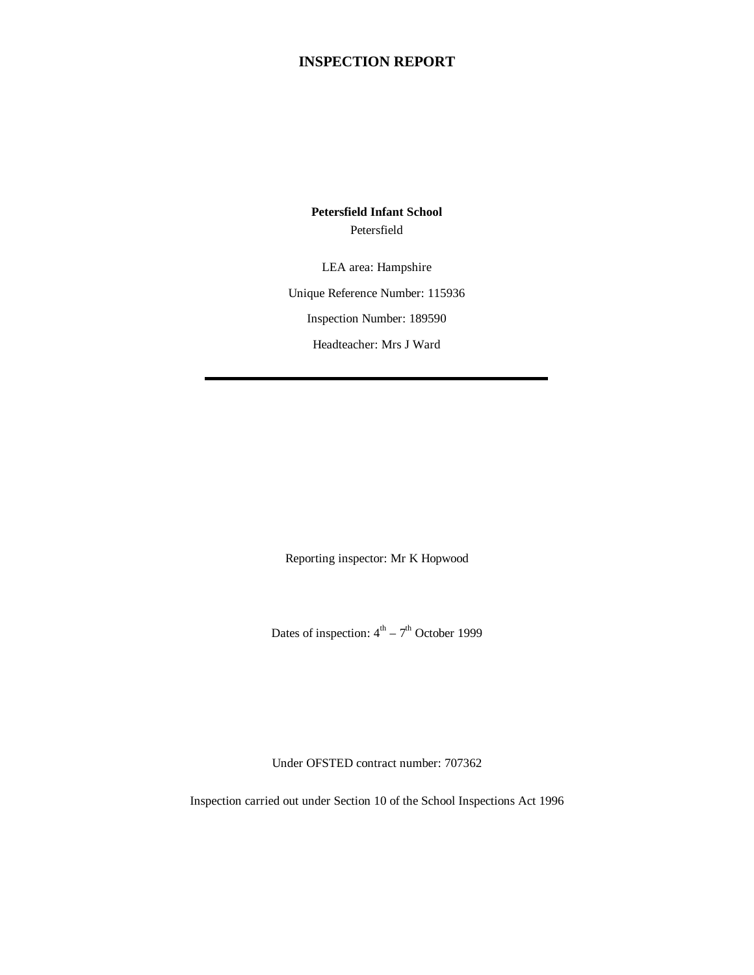# **INSPECTION REPORT**

**Petersfield Infant School** Petersfield

LEA area: Hampshire Unique Reference Number: 115936 Inspection Number: 189590 Headteacher: Mrs J Ward

Reporting inspector: Mr K Hopwood

Dates of inspection:  $4<sup>th</sup> - 7<sup>th</sup>$  October 1999

Under OFSTED contract number: 707362

Inspection carried out under Section 10 of the School Inspections Act 1996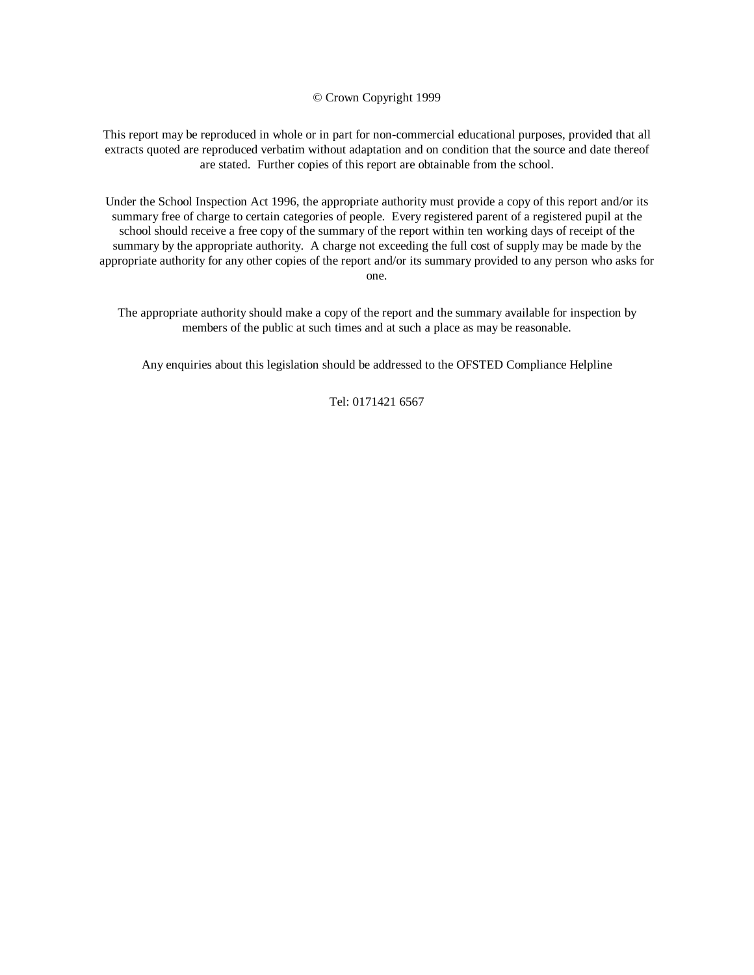© Crown Copyright 1999

This report may be reproduced in whole or in part for non-commercial educational purposes, provided that all extracts quoted are reproduced verbatim without adaptation and on condition that the source and date thereof are stated. Further copies of this report are obtainable from the school.

Under the School Inspection Act 1996, the appropriate authority must provide a copy of this report and/or its summary free of charge to certain categories of people. Every registered parent of a registered pupil at the school should receive a free copy of the summary of the report within ten working days of receipt of the summary by the appropriate authority. A charge not exceeding the full cost of supply may be made by the appropriate authority for any other copies of the report and/or its summary provided to any person who asks for one.

The appropriate authority should make a copy of the report and the summary available for inspection by members of the public at such times and at such a place as may be reasonable.

Any enquiries about this legislation should be addressed to the OFSTED Compliance Helpline

Tel: 0171421 6567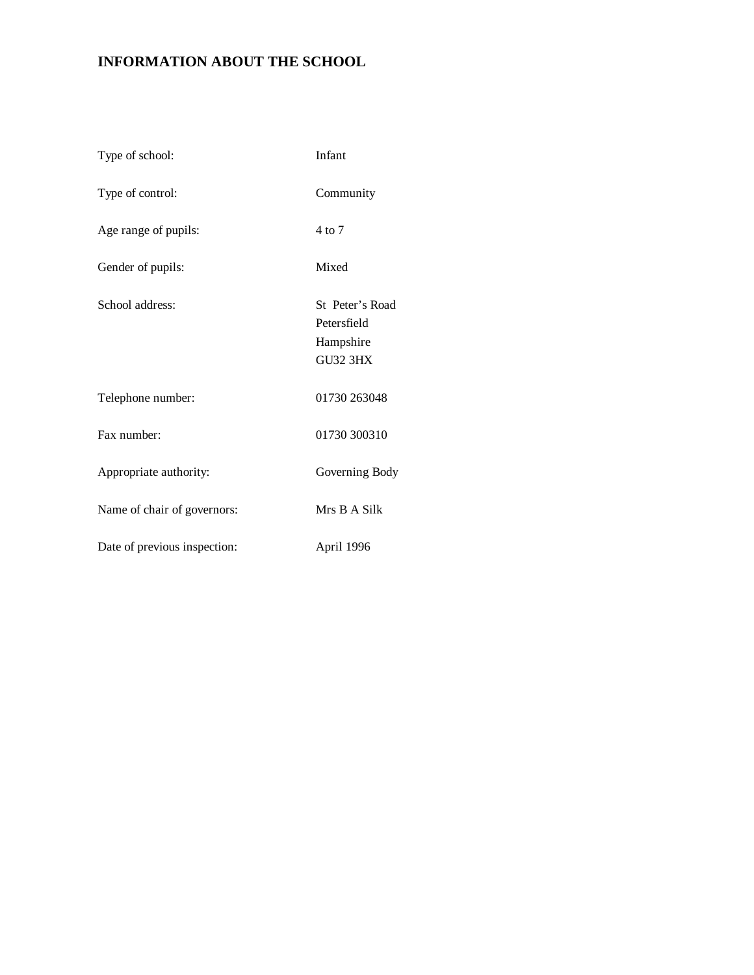# **INFORMATION ABOUT THE SCHOOL**

| Type of school:              | Infant                                                         |
|------------------------------|----------------------------------------------------------------|
| Type of control:             | Community                                                      |
| Age range of pupils:         | 4 to 7                                                         |
| Gender of pupils:            | Mixed                                                          |
| School address:              | St Peter's Road<br>Petersfield<br>Hampshire<br><b>GU32 3HX</b> |
| Telephone number:            | 01730 263048                                                   |
| Fax number:                  | 01730 300310                                                   |
| Appropriate authority:       | Governing Body                                                 |
| Name of chair of governors:  | Mrs B A Silk                                                   |
| Date of previous inspection: | April 1996                                                     |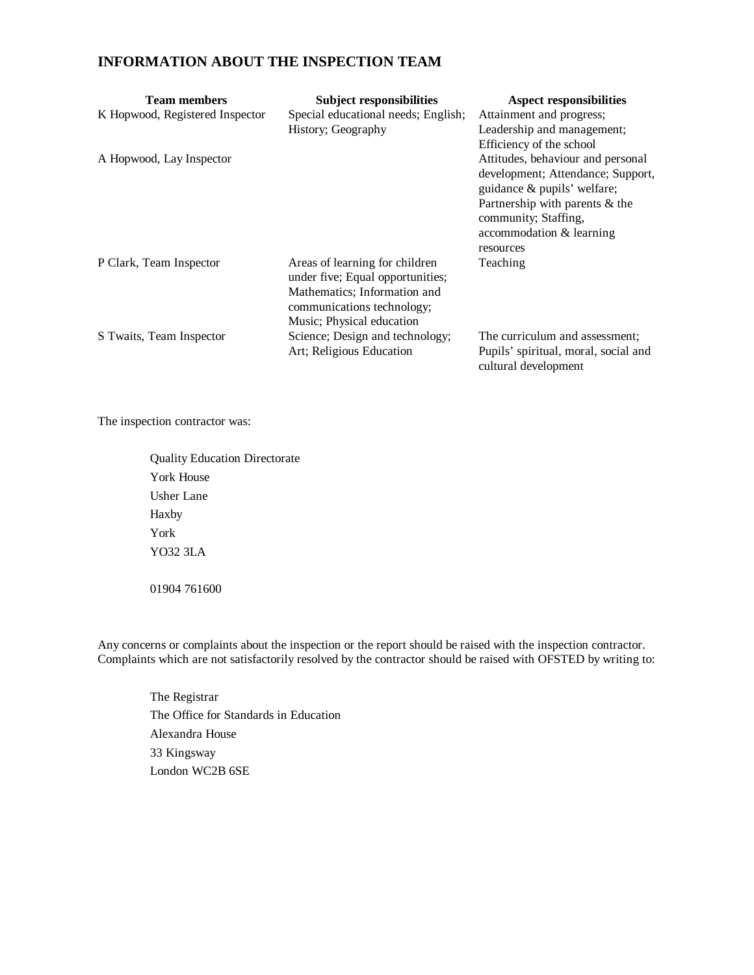# **INFORMATION ABOUT THE INSPECTION TEAM**

| <b>Team members</b><br>K Hopwood, Registered Inspector | <b>Subject responsibilities</b><br>Special educational needs; English;<br>History; Geography                                                                  | <b>Aspect responsibilities</b><br>Attainment and progress;<br>Leadership and management;                                                                                                                                             |
|--------------------------------------------------------|---------------------------------------------------------------------------------------------------------------------------------------------------------------|--------------------------------------------------------------------------------------------------------------------------------------------------------------------------------------------------------------------------------------|
| A Hopwood, Lay Inspector                               |                                                                                                                                                               | Efficiency of the school<br>Attitudes, behaviour and personal<br>development; Attendance; Support,<br>guidance & pupils' welfare;<br>Partnership with parents & the<br>community; Staffing,<br>accommodation & learning<br>resources |
| P Clark, Team Inspector                                | Areas of learning for children<br>under five; Equal opportunities;<br>Mathematics; Information and<br>communications technology;<br>Music; Physical education | Teaching                                                                                                                                                                                                                             |
| S Twaits, Team Inspector                               | Science; Design and technology;<br>Art; Religious Education                                                                                                   | The curriculum and assessment;<br>Pupils' spiritual, moral, social and<br>cultural development                                                                                                                                       |

The inspection contractor was:

Quality Education Directorate York House Usher Lane Haxby York YO32 3LA 01904 761600

Any concerns or complaints about the inspection or the report should be raised with the inspection contractor. Complaints which are not satisfactorily resolved by the contractor should be raised with OFSTED by writing to:

The Registrar The Office for Standards in Education Alexandra House 33 Kingsway London WC2B 6SE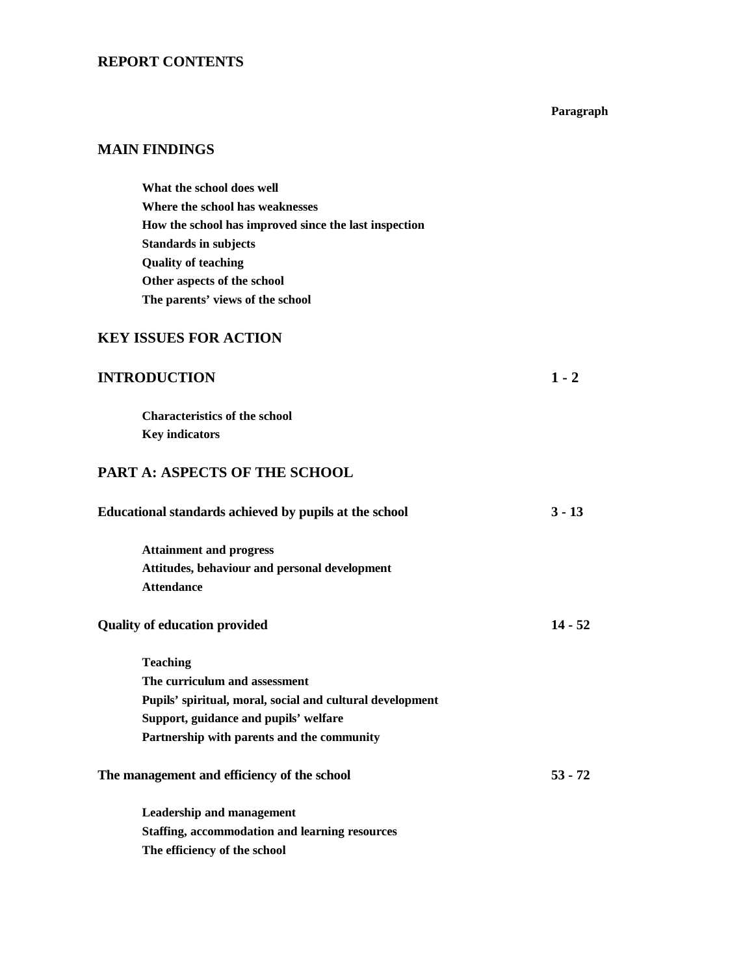# **REPORT CONTENTS**

#### **Paragraph**

# **MAIN FINDINGS**

**What the school does well Where the school has weaknesses How the school has improved since the last inspection Standards in subjects Quality of teaching Other aspects of the school The parents' views of the school**

## **KEY ISSUES FOR ACTION**

# **INTRODUCTION 1 - 2**

**Characteristics of the school Key indicators**

## **PART A: ASPECTS OF THE SCHOOL**

| Educational standards achieved by pupils at the school    | $3 - 13$  |
|-----------------------------------------------------------|-----------|
| <b>Attainment and progress</b>                            |           |
| Attitudes, behaviour and personal development             |           |
| <b>Attendance</b>                                         |           |
| <b>Quality of education provided</b>                      | $14 - 52$ |
| <b>Teaching</b>                                           |           |
| The curriculum and assessment                             |           |
| Pupils' spiritual, moral, social and cultural development |           |
| Support, guidance and pupils' welfare                     |           |
| Partnership with parents and the community                |           |
| The management and efficiency of the school               | $53 - 72$ |
| <b>Leadership and management</b>                          |           |
| <b>Staffing, accommodation and learning resources</b>     |           |
| The efficiency of the school                              |           |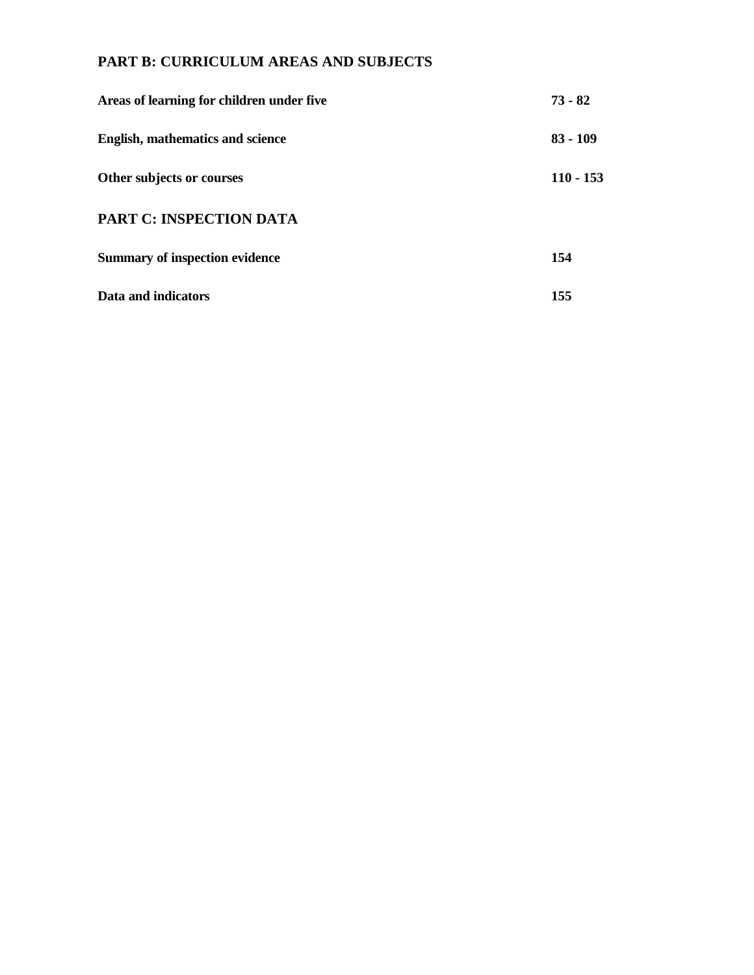# **PART B: CURRICULUM AREAS AND SUBJECTS**

| Areas of learning for children under five | $73 - 82$  |
|-------------------------------------------|------------|
| English, mathematics and science          | $83 - 109$ |
| Other subjects or courses                 | 110 - 153  |
| <b>PART C: INSPECTION DATA</b>            |            |
| <b>Summary of inspection evidence</b>     | 154        |
| Data and indicators                       | 155        |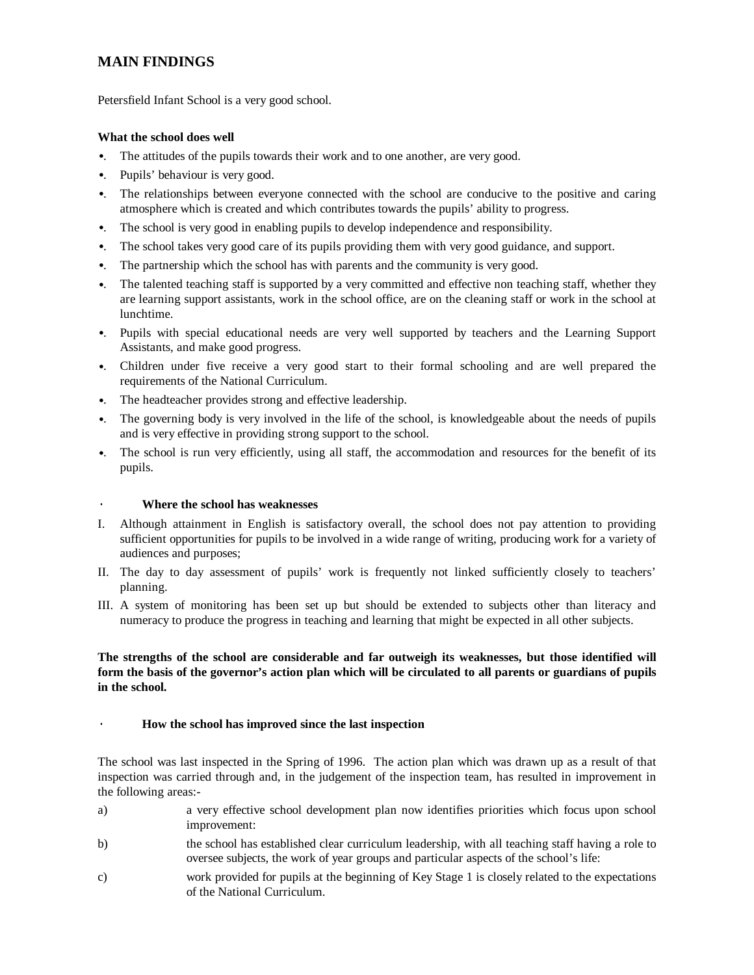# **MAIN FINDINGS**

Petersfield Infant School is a very good school.

#### **What the school does well**

- •. The attitudes of the pupils towards their work and to one another, are very good.
- •. Pupils' behaviour is very good.
- •. The relationships between everyone connected with the school are conducive to the positive and caring atmosphere which is created and which contributes towards the pupils' ability to progress.
- •. The school is very good in enabling pupils to develop independence and responsibility.
- •. The school takes very good care of its pupils providing them with very good guidance, and support.
- •. The partnership which the school has with parents and the community is very good.
- •. The talented teaching staff is supported by a very committed and effective non teaching staff, whether they are learning support assistants, work in the school office, are on the cleaning staff or work in the school at lunchtime.
- •. Pupils with special educational needs are very well supported by teachers and the Learning Support Assistants, and make good progress.
- •. Children under five receive a very good start to their formal schooling and are well prepared the requirements of the National Curriculum.
- •. The headteacher provides strong and effective leadership.
- •. The governing body is very involved in the life of the school, is knowledgeable about the needs of pupils and is very effective in providing strong support to the school.
- •. The school is run very efficiently, using all staff, the accommodation and resources for the benefit of its pupils.

### · **Where the school has weaknesses**

- I. Although attainment in English is satisfactory overall, the school does not pay attention to providing sufficient opportunities for pupils to be involved in a wide range of writing, producing work for a variety of audiences and purposes;
- II. The day to day assessment of pupils' work is frequently not linked sufficiently closely to teachers' planning.
- III. A system of monitoring has been set up but should be extended to subjects other than literacy and numeracy to produce the progress in teaching and learning that might be expected in all other subjects.

### **The strengths of the school are considerable and far outweigh its weaknesses, but those identified will form the basis of the governor's action plan which will be circulated to all parents or guardians of pupils in the school.**

### · **How the school has improved since the last inspection**

The school was last inspected in the Spring of 1996. The action plan which was drawn up as a result of that inspection was carried through and, in the judgement of the inspection team, has resulted in improvement in the following areas:-

- a) a very effective school development plan now identifies priorities which focus upon school improvement:
- b) the school has established clear curriculum leadership, with all teaching staff having a role to oversee subjects, the work of year groups and particular aspects of the school's life:
- c) work provided for pupils at the beginning of Key Stage 1 is closely related to the expectations of the National Curriculum.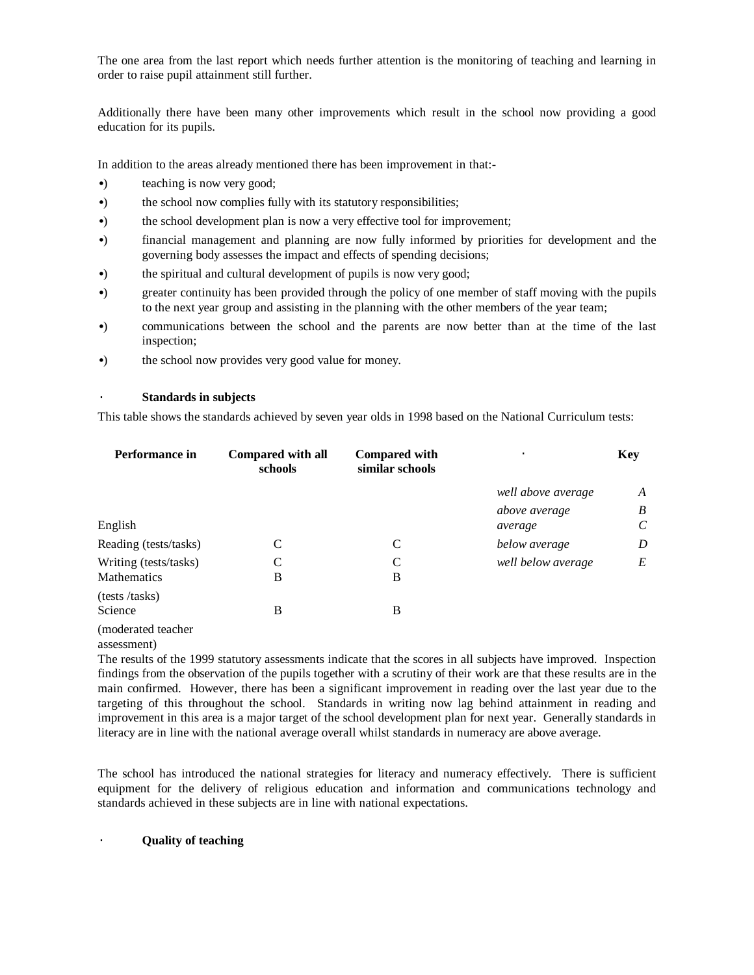The one area from the last report which needs further attention is the monitoring of teaching and learning in order to raise pupil attainment still further.

Additionally there have been many other improvements which result in the school now providing a good education for its pupils.

In addition to the areas already mentioned there has been improvement in that:-

- •) teaching is now very good;
- •) the school now complies fully with its statutory responsibilities;
- •) the school development plan is now a very effective tool for improvement;
- •) financial management and planning are now fully informed by priorities for development and the governing body assesses the impact and effects of spending decisions;
- •) the spiritual and cultural development of pupils is now very good;
- •) greater continuity has been provided through the policy of one member of staff moving with the pupils to the next year group and assisting in the planning with the other members of the year team;
- •) communications between the school and the parents are now better than at the time of the last inspection;
- •) the school now provides very good value for money.

#### · **Standards in subjects**

This table shows the standards achieved by seven year olds in 1998 based on the National Curriculum tests:

| Performance in        | <b>Compared with all</b><br>schools | <b>Compared with</b><br>similar schools | ٠                  | <b>Key</b>            |
|-----------------------|-------------------------------------|-----------------------------------------|--------------------|-----------------------|
|                       |                                     |                                         | well above average | A                     |
|                       |                                     |                                         | above average      | B                     |
| English               |                                     |                                         | average            | $\mathcal{C}_{0}^{0}$ |
| Reading (tests/tasks) | C                                   | C                                       | below average      | D                     |
| Writing (tests/tasks) | $\mathcal{C}$                       | $\mathsf{C}$                            | well below average | E                     |
| <b>Mathematics</b>    | B                                   | B                                       |                    |                       |
| (tests /tasks)        |                                     |                                         |                    |                       |
| Science               | B                                   | B                                       |                    |                       |
| moderated teacher     |                                     |                                         |                    |                       |

(moderated teacher

assessment)

The results of the 1999 statutory assessments indicate that the scores in all subjects have improved. Inspection findings from the observation of the pupils together with a scrutiny of their work are that these results are in the main confirmed. However, there has been a significant improvement in reading over the last year due to the targeting of this throughout the school. Standards in writing now lag behind attainment in reading and improvement in this area is a major target of the school development plan for next year. Generally standards in literacy are in line with the national average overall whilst standards in numeracy are above average.

The school has introduced the national strategies for literacy and numeracy effectively. There is sufficient equipment for the delivery of religious education and information and communications technology and standards achieved in these subjects are in line with national expectations.

#### · **Quality of teaching**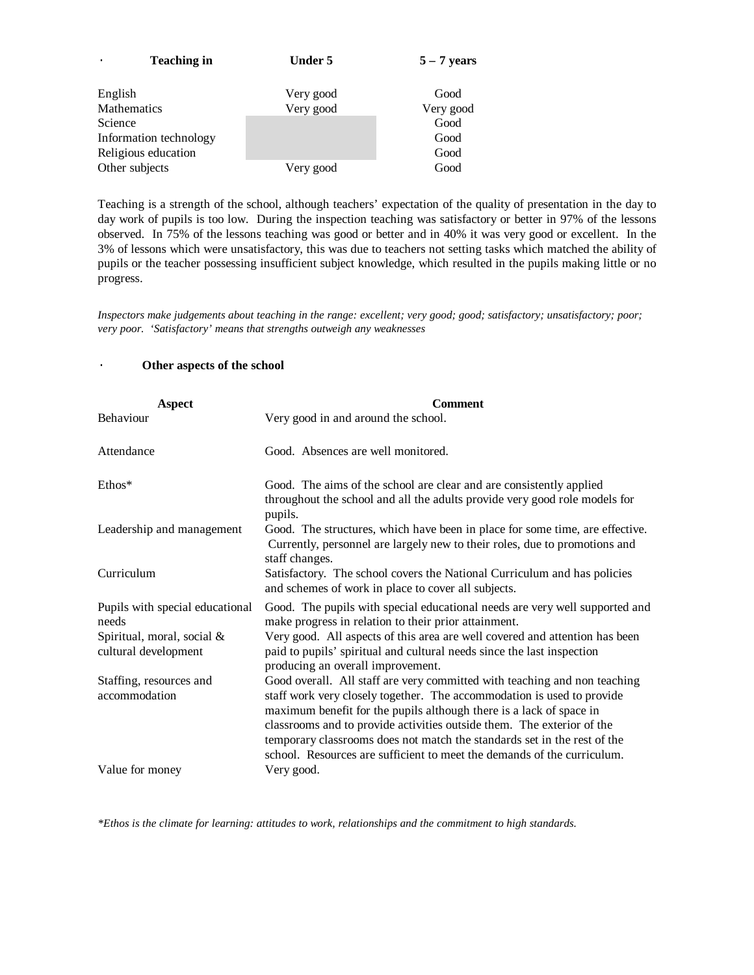| <b>Teaching in</b>     | <b>Under 5</b> | $5 - 7$ years |
|------------------------|----------------|---------------|
| English                | Very good      | Good          |
| Mathematics            | Very good      | Very good     |
| Science                |                | Good          |
| Information technology |                | Good          |
| Religious education    |                | Good          |
| Other subjects         | Very good      | Good          |

Teaching is a strength of the school, although teachers' expectation of the quality of presentation in the day to day work of pupils is too low. During the inspection teaching was satisfactory or better in 97% of the lessons observed. In 75% of the lessons teaching was good or better and in 40% it was very good or excellent. In the 3% of lessons which were unsatisfactory, this was due to teachers not setting tasks which matched the ability of pupils or the teacher possessing insufficient subject knowledge, which resulted in the pupils making little or no progress.

*Inspectors make judgements about teaching in the range: excellent; very good; good; satisfactory; unsatisfactory; poor; very poor. 'Satisfactory' means that strengths outweigh any weaknesses*

### Other aspects of the school

| <b>Aspect</b>                                      | <b>Comment</b>                                                                                                                                                                                                                                                                                                                                                                 |
|----------------------------------------------------|--------------------------------------------------------------------------------------------------------------------------------------------------------------------------------------------------------------------------------------------------------------------------------------------------------------------------------------------------------------------------------|
| Behaviour                                          | Very good in and around the school.                                                                                                                                                                                                                                                                                                                                            |
| Attendance                                         | Good. Absences are well monitored.                                                                                                                                                                                                                                                                                                                                             |
| Ethos*                                             | Good. The aims of the school are clear and are consistently applied<br>throughout the school and all the adults provide very good role models for<br>pupils.                                                                                                                                                                                                                   |
| Leadership and management                          | Good. The structures, which have been in place for some time, are effective.<br>Currently, personnel are largely new to their roles, due to promotions and<br>staff changes.                                                                                                                                                                                                   |
| Curriculum                                         | Satisfactory. The school covers the National Curriculum and has policies<br>and schemes of work in place to cover all subjects.                                                                                                                                                                                                                                                |
| Pupils with special educational<br>needs           | Good. The pupils with special educational needs are very well supported and<br>make progress in relation to their prior attainment.                                                                                                                                                                                                                                            |
| Spiritual, moral, social &<br>cultural development | Very good. All aspects of this area are well covered and attention has been<br>paid to pupils' spiritual and cultural needs since the last inspection<br>producing an overall improvement.                                                                                                                                                                                     |
| Staffing, resources and                            | Good overall. All staff are very committed with teaching and non teaching                                                                                                                                                                                                                                                                                                      |
| accommodation                                      | staff work very closely together. The accommodation is used to provide<br>maximum benefit for the pupils although there is a lack of space in<br>classrooms and to provide activities outside them. The exterior of the<br>temporary classrooms does not match the standards set in the rest of the<br>school. Resources are sufficient to meet the demands of the curriculum. |
| Value for money                                    | Very good.                                                                                                                                                                                                                                                                                                                                                                     |

*\*Ethos is the climate for learning: attitudes to work, relationships and the commitment to high standards.*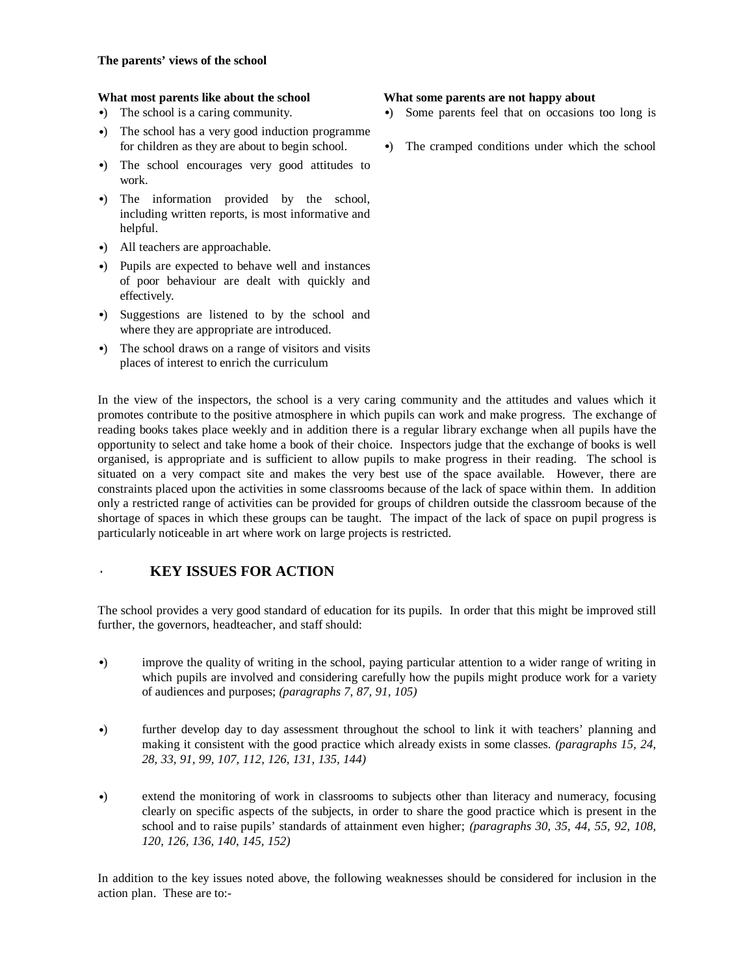- •) The school is a caring community.
- •) The school has a very good induction programme for children as they are about to begin school.
- •) The school encourages very good attitudes to work.
- •) The information provided by the school, including written reports, is most informative and helpful.
- •) All teachers are approachable.
- •) Pupils are expected to behave well and instances of poor behaviour are dealt with quickly and effectively.
- •) Suggestions are listened to by the school and where they are appropriate are introduced.
- •) The school draws on a range of visitors and visits places of interest to enrich the curriculum

## In the view of the inspectors, the school is a very caring community and the attitudes and values which it promotes contribute to the positive atmosphere in which pupils can work and make progress. The exchange of reading books takes place weekly and in addition there is a regular library exchange when all pupils have the opportunity to select and take home a book of their choice. Inspectors judge that the exchange of books is well organised, is appropriate and is sufficient to allow pupils to make progress in their reading. The school is situated on a very compact site and makes the very best use of the space available. However, there are constraints placed upon the activities in some classrooms because of the lack of space within them. In addition only a restricted range of activities can be provided for groups of children outside the classroom because of the shortage of spaces in which these groups can be taught. The impact of the lack of space on pupil progress is particularly noticeable in art where work on large projects is restricted.

## · **KEY ISSUES FOR ACTION**

The school provides a very good standard of education for its pupils. In order that this might be improved still further, the governors, headteacher, and staff should:

- •) improve the quality of writing in the school, paying particular attention to a wider range of writing in which pupils are involved and considering carefully how the pupils might produce work for a variety of audiences and purposes; *(paragraphs 7, 87, 91, 105)*
- •) further develop day to day assessment throughout the school to link it with teachers' planning and making it consistent with the good practice which already exists in some classes. *(paragraphs 15, 24, 28, 33, 91, 99, 107, 112, 126, 131, 135, 144)*
- •) extend the monitoring of work in classrooms to subjects other than literacy and numeracy, focusing clearly on specific aspects of the subjects, in order to share the good practice which is present in the school and to raise pupils' standards of attainment even higher; *(paragraphs 30, 35, 44, 55, 92, 108, 120, 126, 136, 140, 145, 152)*

In addition to the key issues noted above, the following weaknesses should be considered for inclusion in the action plan. These are to:-

#### **What most parents like about the school What some parents are not happy about**

- •) Some parents feel that on occasions too long is
- •) The cramped conditions under which the school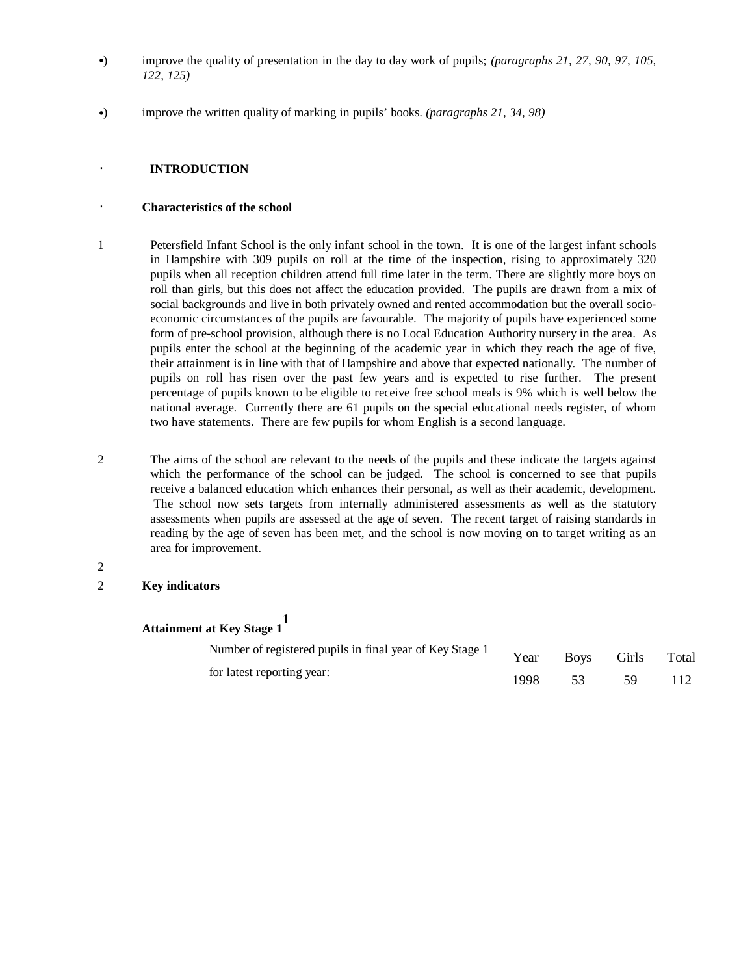- •) improve the quality of presentation in the day to day work of pupils; *(paragraphs 21, 27, 90, 97, 105, 122, 125)*
- •) improve the written quality of marking in pupils' books. *(paragraphs 21, 34, 98)*

### · **INTRODUCTION**

#### · **Characteristics of the school**

- 1 Petersfield Infant School is the only infant school in the town. It is one of the largest infant schools in Hampshire with 309 pupils on roll at the time of the inspection, rising to approximately 320 pupils when all reception children attend full time later in the term. There are slightly more boys on roll than girls, but this does not affect the education provided. The pupils are drawn from a mix of social backgrounds and live in both privately owned and rented accommodation but the overall socioeconomic circumstances of the pupils are favourable. The majority of pupils have experienced some form of pre-school provision, although there is no Local Education Authority nursery in the area. As pupils enter the school at the beginning of the academic year in which they reach the age of five, their attainment is in line with that of Hampshire and above that expected nationally. The number of pupils on roll has risen over the past few years and is expected to rise further. The present percentage of pupils known to be eligible to receive free school meals is 9% which is well below the national average. Currently there are 61 pupils on the special educational needs register, of whom two have statements. There are few pupils for whom English is a second language.
- 2 The aims of the school are relevant to the needs of the pupils and these indicate the targets against which the performance of the school can be judged. The school is concerned to see that pupils receive a balanced education which enhances their personal, as well as their academic, development. The school now sets targets from internally administered assessments as well as the statutory assessments when pupils are assessed at the age of seven. The recent target of raising standards in reading by the age of seven has been met, and the school is now moving on to target writing as an area for improvement.
- 2

#### 2 **Key indicators**

**Attainment at Key Stage 1 1**

| Number of registered pupils in final year of Key Stage 1 | Year |      | Boys Girls | Total |
|----------------------------------------------------------|------|------|------------|-------|
| for latest reporting year:                               | 1998 | - 53 | -59        |       |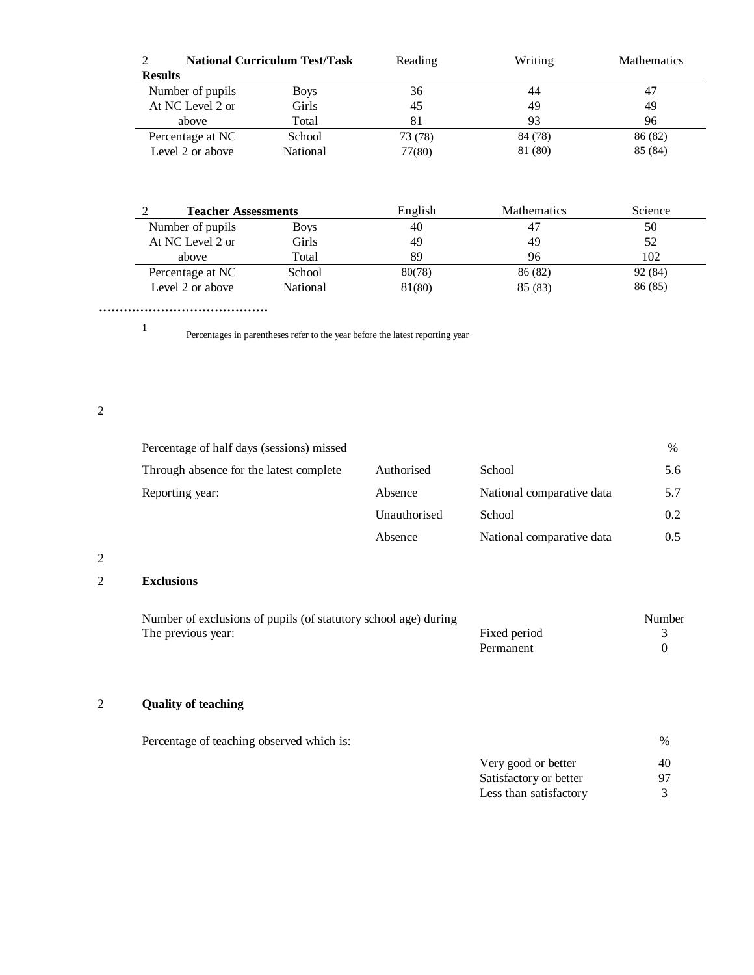|                  | <b>National Curriculum Test/Task</b> | Reading | Writing | <b>Mathematics</b> |
|------------------|--------------------------------------|---------|---------|--------------------|
| <b>Results</b>   |                                      |         |         |                    |
| Number of pupils | <b>Boys</b>                          | 36      | 44      | 47                 |
| At NC Level 2 or | Girls                                | 45      | 49      | 49                 |
| above            | Total                                | 81      | 93      | 96                 |
| Percentage at NC | School                               | 73 (78) | 84 (78) | 86 (82)            |
| Level 2 or above | National                             | 77(80)  | 81 (80) | 85 (84)            |

| <b>Teacher Assessments</b> |             | English | <b>Mathematics</b> | Science |
|----------------------------|-------------|---------|--------------------|---------|
| Number of pupils           | <b>Boys</b> | 40      | 47                 | 50      |
| At NC Level 2 or           | Girls       | 49      | 49                 | 52      |
| above                      | Total       | 89      | 96                 | 102     |
| Percentage at NC           | School      | 80(78)  | 86 (82)            | 92 (84) |
| Level 2 or above           | National    | 81(80)  | 85(83)             | 86(85)  |

.........................................

1

Percentages in parentheses refer to the year before the latest reporting year

2

| Percentage of half days (sessions) missed |              |                           | $\%$ |
|-------------------------------------------|--------------|---------------------------|------|
| Through absence for the latest complete   | Authorised   | School                    | 5.6  |
| Reporting year:                           | Absence      | National comparative data | 5.7  |
|                                           | Unauthorised | School                    | 0.2  |
|                                           | Absence      | National comparative data | 0.5  |

2

## 2 **Exclusions**

| Number of exclusions of pupils (of statutory school age) during |              | Number |
|-----------------------------------------------------------------|--------------|--------|
| The previous year:                                              | Fixed period |        |
|                                                                 | Permanent    |        |

## 2 **Quality of teaching**

| Percentage of teaching observed which is: |                        | $\%$ |
|-------------------------------------------|------------------------|------|
|                                           | Very good or better    | 40   |
|                                           | Satisfactory or better | 97   |
|                                           | Less than satisfactory |      |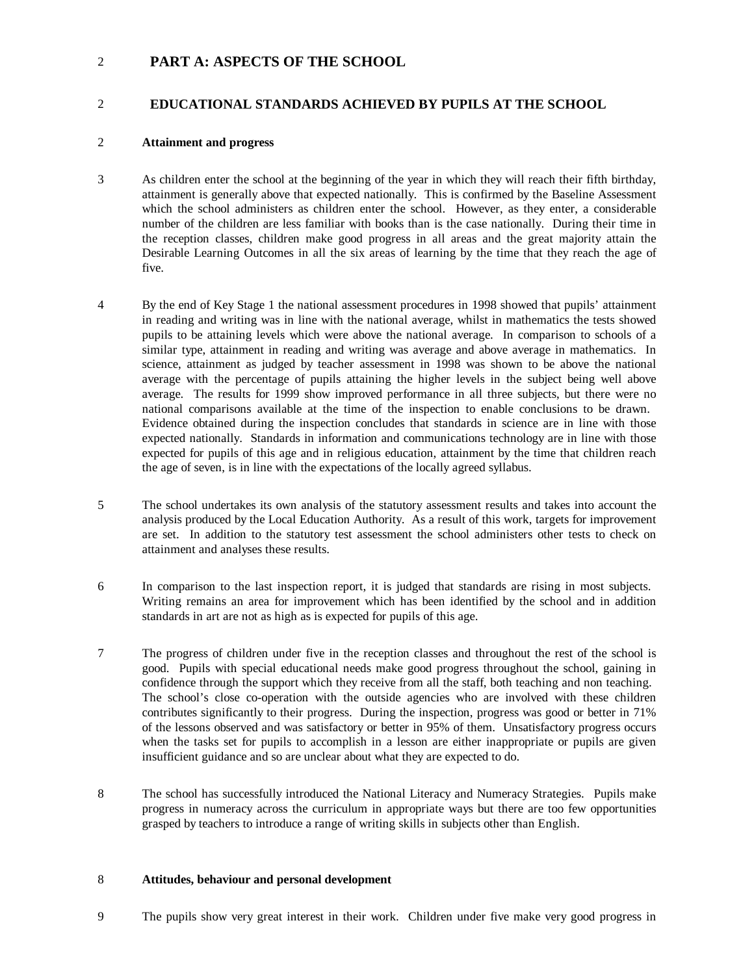## 2 **PART A: ASPECTS OF THE SCHOOL**

## 2 **EDUCATIONAL STANDARDS ACHIEVED BY PUPILS AT THE SCHOOL**

## 2 **Attainment and progress**

- 3 As children enter the school at the beginning of the year in which they will reach their fifth birthday, attainment is generally above that expected nationally. This is confirmed by the Baseline Assessment which the school administers as children enter the school. However, as they enter, a considerable number of the children are less familiar with books than is the case nationally. During their time in the reception classes, children make good progress in all areas and the great majority attain the Desirable Learning Outcomes in all the six areas of learning by the time that they reach the age of five.
- 4 By the end of Key Stage 1 the national assessment procedures in 1998 showed that pupils' attainment in reading and writing was in line with the national average, whilst in mathematics the tests showed pupils to be attaining levels which were above the national average. In comparison to schools of a similar type, attainment in reading and writing was average and above average in mathematics. In science, attainment as judged by teacher assessment in 1998 was shown to be above the national average with the percentage of pupils attaining the higher levels in the subject being well above average. The results for 1999 show improved performance in all three subjects, but there were no national comparisons available at the time of the inspection to enable conclusions to be drawn. Evidence obtained during the inspection concludes that standards in science are in line with those expected nationally. Standards in information and communications technology are in line with those expected for pupils of this age and in religious education, attainment by the time that children reach the age of seven, is in line with the expectations of the locally agreed syllabus.
- 5 The school undertakes its own analysis of the statutory assessment results and takes into account the analysis produced by the Local Education Authority. As a result of this work, targets for improvement are set. In addition to the statutory test assessment the school administers other tests to check on attainment and analyses these results.
- 6 In comparison to the last inspection report, it is judged that standards are rising in most subjects. Writing remains an area for improvement which has been identified by the school and in addition standards in art are not as high as is expected for pupils of this age.
- 7 The progress of children under five in the reception classes and throughout the rest of the school is good. Pupils with special educational needs make good progress throughout the school, gaining in confidence through the support which they receive from all the staff, both teaching and non teaching. The school's close co-operation with the outside agencies who are involved with these children contributes significantly to their progress. During the inspection, progress was good or better in 71% of the lessons observed and was satisfactory or better in 95% of them. Unsatisfactory progress occurs when the tasks set for pupils to accomplish in a lesson are either inappropriate or pupils are given insufficient guidance and so are unclear about what they are expected to do.
- 8 The school has successfully introduced the National Literacy and Numeracy Strategies. Pupils make progress in numeracy across the curriculum in appropriate ways but there are too few opportunities grasped by teachers to introduce a range of writing skills in subjects other than English.

### 8 **Attitudes, behaviour and personal development**

9 The pupils show very great interest in their work. Children under five make very good progress in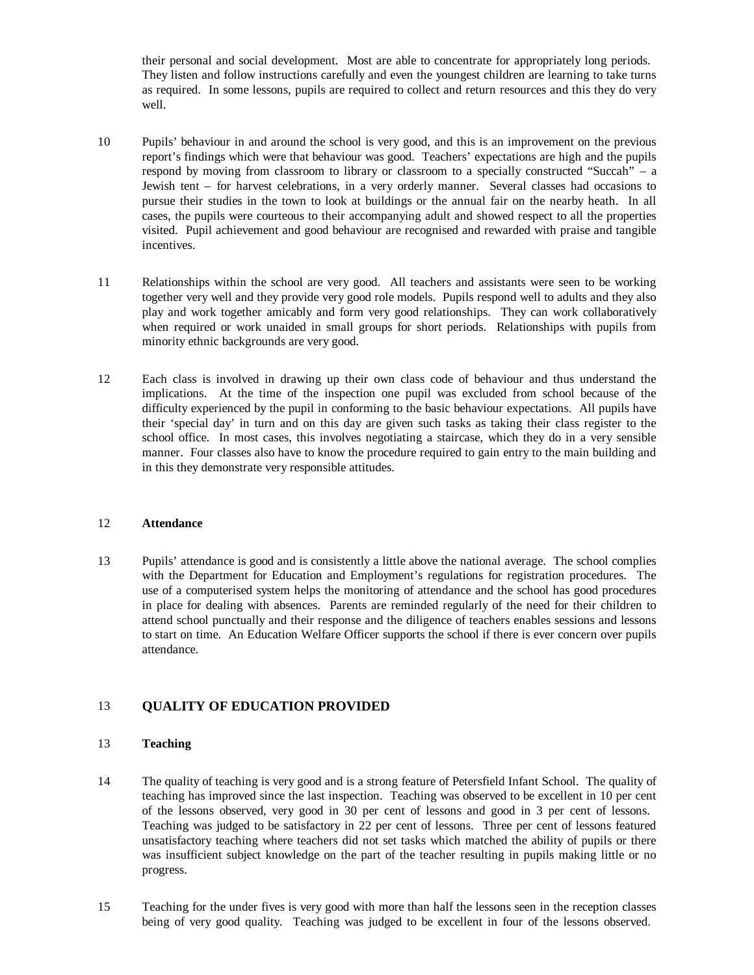their personal and social development. Most are able to concentrate for appropriately long periods. They listen and follow instructions carefully and even the youngest children are learning to take turns as required. In some lessons, pupils are required to collect and return resources and this they do very well.

- 10 Pupils' behaviour in and around the school is very good, and this is an improvement on the previous report's findings which were that behaviour was good. Teachers' expectations are high and the pupils respond by moving from classroom to library or classroom to a specially constructed "Succah" – a Jewish tent – for harvest celebrations, in a very orderly manner. Several classes had occasions to pursue their studies in the town to look at buildings or the annual fair on the nearby heath. In all cases, the pupils were courteous to their accompanying adult and showed respect to all the properties visited. Pupil achievement and good behaviour are recognised and rewarded with praise and tangible incentives.
- 11 Relationships within the school are very good. All teachers and assistants were seen to be working together very well and they provide very good role models. Pupils respond well to adults and they also play and work together amicably and form very good relationships. They can work collaboratively when required or work unaided in small groups for short periods. Relationships with pupils from minority ethnic backgrounds are very good.
- 12 Each class is involved in drawing up their own class code of behaviour and thus understand the implications. At the time of the inspection one pupil was excluded from school because of the difficulty experienced by the pupil in conforming to the basic behaviour expectations. All pupils have their 'special day' in turn and on this day are given such tasks as taking their class register to the school office. In most cases, this involves negotiating a staircase, which they do in a very sensible manner. Four classes also have to know the procedure required to gain entry to the main building and in this they demonstrate very responsible attitudes.

#### 12 **Attendance**

13 Pupils' attendance is good and is consistently a little above the national average. The school complies with the Department for Education and Employment's regulations for registration procedures. The use of a computerised system helps the monitoring of attendance and the school has good procedures in place for dealing with absences. Parents are reminded regularly of the need for their children to attend school punctually and their response and the diligence of teachers enables sessions and lessons to start on time. An Education Welfare Officer supports the school if there is ever concern over pupils attendance.

## 13 **QUALITY OF EDUCATION PROVIDED**

#### 13 **Teaching**

- 14 The quality of teaching is very good and is a strong feature of Petersfield Infant School. The quality of teaching has improved since the last inspection. Teaching was observed to be excellent in 10 per cent of the lessons observed, very good in 30 per cent of lessons and good in 3 per cent of lessons. Teaching was judged to be satisfactory in 22 per cent of lessons. Three per cent of lessons featured unsatisfactory teaching where teachers did not set tasks which matched the ability of pupils or there was insufficient subject knowledge on the part of the teacher resulting in pupils making little or no progress.
- 15 Teaching for the under fives is very good with more than half the lessons seen in the reception classes being of very good quality. Teaching was judged to be excellent in four of the lessons observed.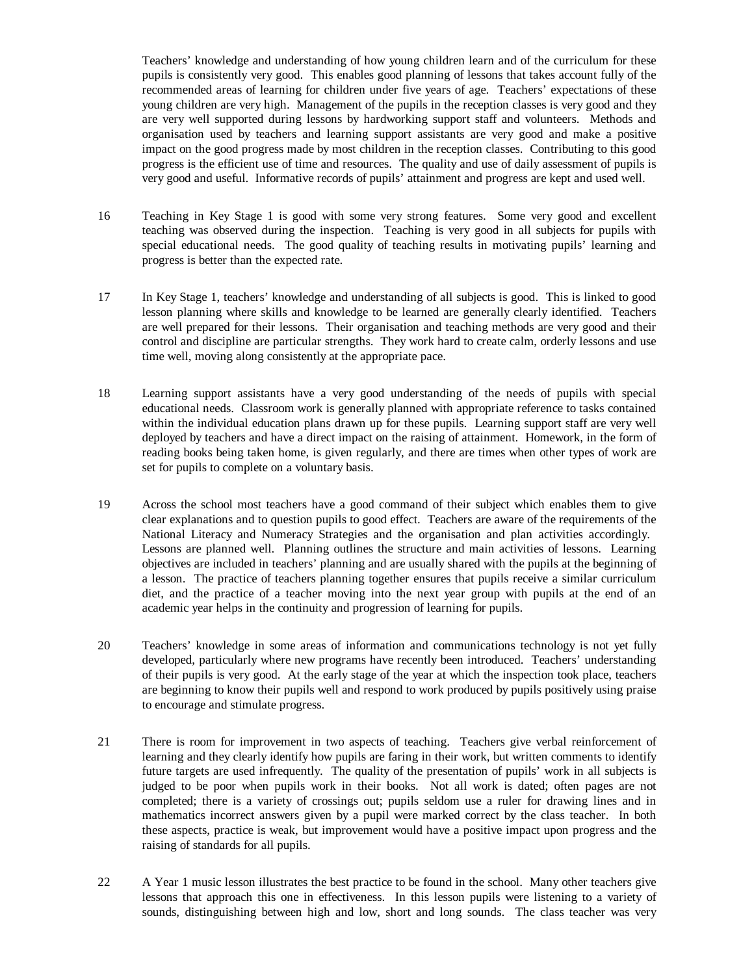Teachers' knowledge and understanding of how young children learn and of the curriculum for these pupils is consistently very good. This enables good planning of lessons that takes account fully of the recommended areas of learning for children under five years of age. Teachers' expectations of these young children are very high. Management of the pupils in the reception classes is very good and they are very well supported during lessons by hardworking support staff and volunteers. Methods and organisation used by teachers and learning support assistants are very good and make a positive impact on the good progress made by most children in the reception classes. Contributing to this good progress is the efficient use of time and resources. The quality and use of daily assessment of pupils is very good and useful. Informative records of pupils' attainment and progress are kept and used well.

- 16 Teaching in Key Stage 1 is good with some very strong features. Some very good and excellent teaching was observed during the inspection. Teaching is very good in all subjects for pupils with special educational needs. The good quality of teaching results in motivating pupils' learning and progress is better than the expected rate.
- 17 In Key Stage 1, teachers' knowledge and understanding of all subjects is good. This is linked to good lesson planning where skills and knowledge to be learned are generally clearly identified. Teachers are well prepared for their lessons. Their organisation and teaching methods are very good and their control and discipline are particular strengths. They work hard to create calm, orderly lessons and use time well, moving along consistently at the appropriate pace.
- 18 Learning support assistants have a very good understanding of the needs of pupils with special educational needs. Classroom work is generally planned with appropriate reference to tasks contained within the individual education plans drawn up for these pupils. Learning support staff are very well deployed by teachers and have a direct impact on the raising of attainment. Homework, in the form of reading books being taken home, is given regularly, and there are times when other types of work are set for pupils to complete on a voluntary basis.
- 19 Across the school most teachers have a good command of their subject which enables them to give clear explanations and to question pupils to good effect. Teachers are aware of the requirements of the National Literacy and Numeracy Strategies and the organisation and plan activities accordingly. Lessons are planned well. Planning outlines the structure and main activities of lessons. Learning objectives are included in teachers' planning and are usually shared with the pupils at the beginning of a lesson. The practice of teachers planning together ensures that pupils receive a similar curriculum diet, and the practice of a teacher moving into the next year group with pupils at the end of an academic year helps in the continuity and progression of learning for pupils.
- 20 Teachers' knowledge in some areas of information and communications technology is not yet fully developed, particularly where new programs have recently been introduced. Teachers' understanding of their pupils is very good. At the early stage of the year at which the inspection took place, teachers are beginning to know their pupils well and respond to work produced by pupils positively using praise to encourage and stimulate progress.
- 21 There is room for improvement in two aspects of teaching. Teachers give verbal reinforcement of learning and they clearly identify how pupils are faring in their work, but written comments to identify future targets are used infrequently. The quality of the presentation of pupils' work in all subjects is judged to be poor when pupils work in their books. Not all work is dated; often pages are not completed; there is a variety of crossings out; pupils seldom use a ruler for drawing lines and in mathematics incorrect answers given by a pupil were marked correct by the class teacher. In both these aspects, practice is weak, but improvement would have a positive impact upon progress and the raising of standards for all pupils.
- 22 A Year 1 music lesson illustrates the best practice to be found in the school. Many other teachers give lessons that approach this one in effectiveness. In this lesson pupils were listening to a variety of sounds, distinguishing between high and low, short and long sounds. The class teacher was very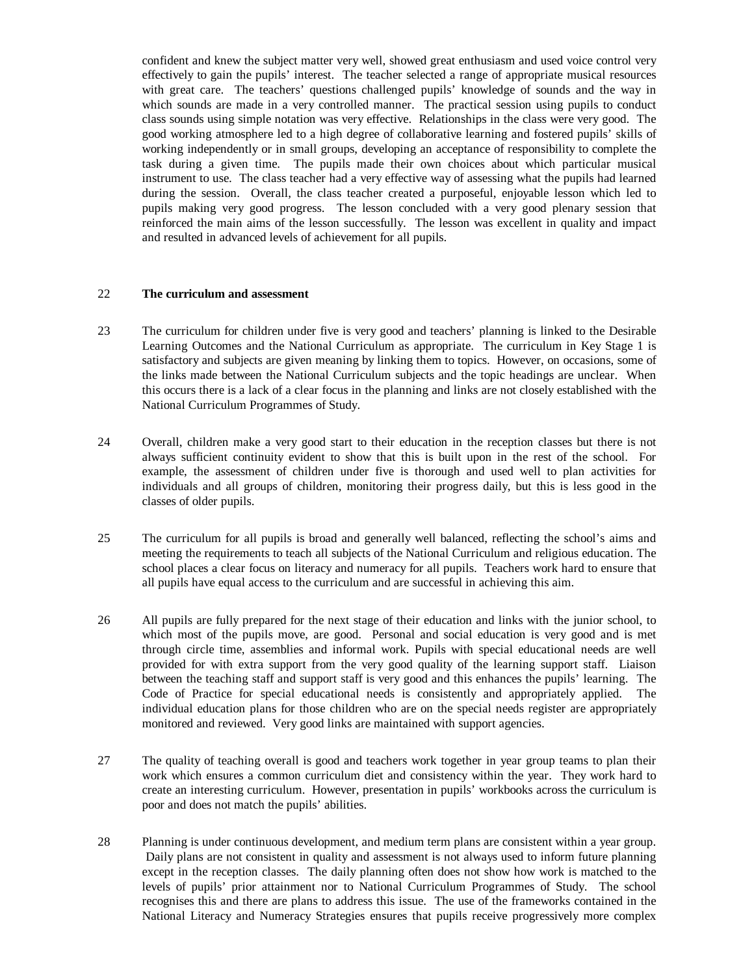confident and knew the subject matter very well, showed great enthusiasm and used voice control very effectively to gain the pupils' interest. The teacher selected a range of appropriate musical resources with great care. The teachers' questions challenged pupils' knowledge of sounds and the way in which sounds are made in a very controlled manner. The practical session using pupils to conduct class sounds using simple notation was very effective. Relationships in the class were very good. The good working atmosphere led to a high degree of collaborative learning and fostered pupils' skills of working independently or in small groups, developing an acceptance of responsibility to complete the task during a given time. The pupils made their own choices about which particular musical instrument to use. The class teacher had a very effective way of assessing what the pupils had learned during the session. Overall, the class teacher created a purposeful, enjoyable lesson which led to pupils making very good progress. The lesson concluded with a very good plenary session that reinforced the main aims of the lesson successfully. The lesson was excellent in quality and impact and resulted in advanced levels of achievement for all pupils.

#### 22 **The curriculum and assessment**

- 23 The curriculum for children under five is very good and teachers' planning is linked to the Desirable Learning Outcomes and the National Curriculum as appropriate. The curriculum in Key Stage 1 is satisfactory and subjects are given meaning by linking them to topics. However, on occasions, some of the links made between the National Curriculum subjects and the topic headings are unclear. When this occurs there is a lack of a clear focus in the planning and links are not closely established with the National Curriculum Programmes of Study.
- 24 Overall, children make a very good start to their education in the reception classes but there is not always sufficient continuity evident to show that this is built upon in the rest of the school. For example, the assessment of children under five is thorough and used well to plan activities for individuals and all groups of children, monitoring their progress daily, but this is less good in the classes of older pupils.
- 25 The curriculum for all pupils is broad and generally well balanced, reflecting the school's aims and meeting the requirements to teach all subjects of the National Curriculum and religious education. The school places a clear focus on literacy and numeracy for all pupils. Teachers work hard to ensure that all pupils have equal access to the curriculum and are successful in achieving this aim.
- 26 All pupils are fully prepared for the next stage of their education and links with the junior school, to which most of the pupils move, are good. Personal and social education is very good and is met through circle time, assemblies and informal work. Pupils with special educational needs are well provided for with extra support from the very good quality of the learning support staff. Liaison between the teaching staff and support staff is very good and this enhances the pupils' learning. The Code of Practice for special educational needs is consistently and appropriately applied. The individual education plans for those children who are on the special needs register are appropriately monitored and reviewed. Very good links are maintained with support agencies.
- 27 The quality of teaching overall is good and teachers work together in year group teams to plan their work which ensures a common curriculum diet and consistency within the year. They work hard to create an interesting curriculum. However, presentation in pupils' workbooks across the curriculum is poor and does not match the pupils' abilities.
- 28 Planning is under continuous development, and medium term plans are consistent within a year group. Daily plans are not consistent in quality and assessment is not always used to inform future planning except in the reception classes. The daily planning often does not show how work is matched to the levels of pupils' prior attainment nor to National Curriculum Programmes of Study. The school recognises this and there are plans to address this issue. The use of the frameworks contained in the National Literacy and Numeracy Strategies ensures that pupils receive progressively more complex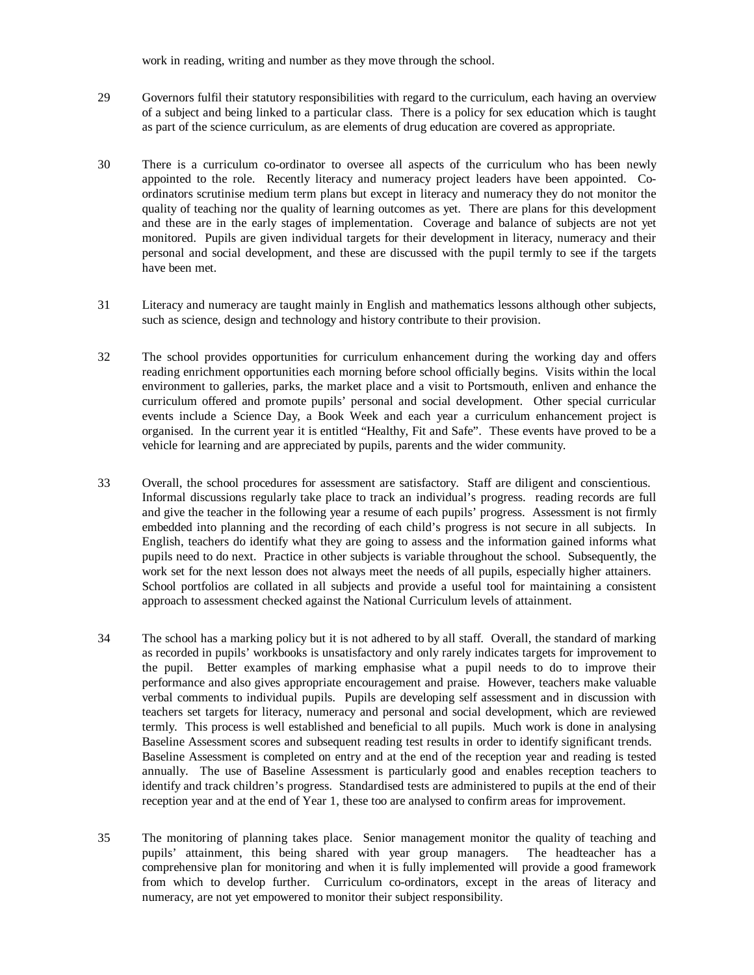work in reading, writing and number as they move through the school.

- 29 Governors fulfil their statutory responsibilities with regard to the curriculum, each having an overview of a subject and being linked to a particular class. There is a policy for sex education which is taught as part of the science curriculum, as are elements of drug education are covered as appropriate.
- 30 There is a curriculum co-ordinator to oversee all aspects of the curriculum who has been newly appointed to the role. Recently literacy and numeracy project leaders have been appointed. Coordinators scrutinise medium term plans but except in literacy and numeracy they do not monitor the quality of teaching nor the quality of learning outcomes as yet. There are plans for this development and these are in the early stages of implementation. Coverage and balance of subjects are not yet monitored. Pupils are given individual targets for their development in literacy, numeracy and their personal and social development, and these are discussed with the pupil termly to see if the targets have been met.
- 31 Literacy and numeracy are taught mainly in English and mathematics lessons although other subjects, such as science, design and technology and history contribute to their provision.
- 32 The school provides opportunities for curriculum enhancement during the working day and offers reading enrichment opportunities each morning before school officially begins. Visits within the local environment to galleries, parks, the market place and a visit to Portsmouth, enliven and enhance the curriculum offered and promote pupils' personal and social development. Other special curricular events include a Science Day, a Book Week and each year a curriculum enhancement project is organised. In the current year it is entitled "Healthy, Fit and Safe". These events have proved to be a vehicle for learning and are appreciated by pupils, parents and the wider community.
- 33 Overall, the school procedures for assessment are satisfactory. Staff are diligent and conscientious. Informal discussions regularly take place to track an individual's progress. reading records are full and give the teacher in the following year a resume of each pupils' progress. Assessment is not firmly embedded into planning and the recording of each child's progress is not secure in all subjects. In English, teachers do identify what they are going to assess and the information gained informs what pupils need to do next. Practice in other subjects is variable throughout the school. Subsequently, the work set for the next lesson does not always meet the needs of all pupils, especially higher attainers. School portfolios are collated in all subjects and provide a useful tool for maintaining a consistent approach to assessment checked against the National Curriculum levels of attainment.
- 34 The school has a marking policy but it is not adhered to by all staff. Overall, the standard of marking as recorded in pupils' workbooks is unsatisfactory and only rarely indicates targets for improvement to the pupil. Better examples of marking emphasise what a pupil needs to do to improve their performance and also gives appropriate encouragement and praise. However, teachers make valuable verbal comments to individual pupils. Pupils are developing self assessment and in discussion with teachers set targets for literacy, numeracy and personal and social development, which are reviewed termly. This process is well established and beneficial to all pupils. Much work is done in analysing Baseline Assessment scores and subsequent reading test results in order to identify significant trends. Baseline Assessment is completed on entry and at the end of the reception year and reading is tested annually. The use of Baseline Assessment is particularly good and enables reception teachers to identify and track children's progress. Standardised tests are administered to pupils at the end of their reception year and at the end of Year 1, these too are analysed to confirm areas for improvement.
- 35 The monitoring of planning takes place. Senior management monitor the quality of teaching and pupils' attainment, this being shared with year group managers. The headteacher has a comprehensive plan for monitoring and when it is fully implemented will provide a good framework from which to develop further. Curriculum co-ordinators, except in the areas of literacy and numeracy, are not yet empowered to monitor their subject responsibility.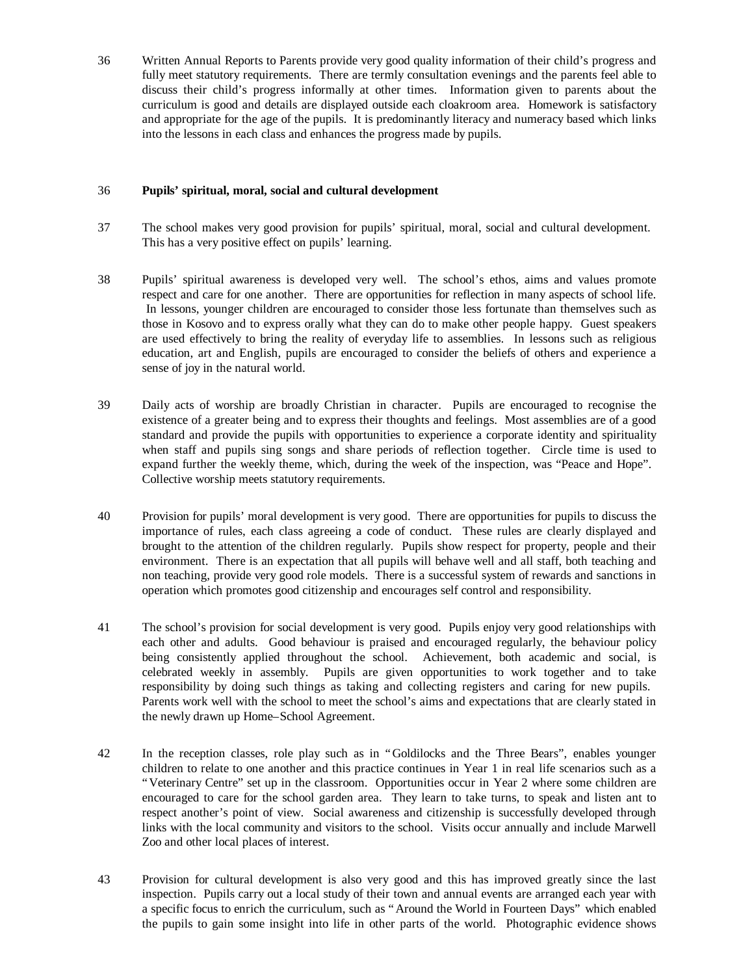36 Written Annual Reports to Parents provide very good quality information of their child's progress and fully meet statutory requirements. There are termly consultation evenings and the parents feel able to discuss their child's progress informally at other times. Information given to parents about the curriculum is good and details are displayed outside each cloakroom area. Homework is satisfactory and appropriate for the age of the pupils. It is predominantly literacy and numeracy based which links into the lessons in each class and enhances the progress made by pupils.

### 36 **Pupils' spiritual, moral, social and cultural development**

- 37 The school makes very good provision for pupils' spiritual, moral, social and cultural development. This has a very positive effect on pupils' learning.
- 38 Pupils' spiritual awareness is developed very well. The school's ethos, aims and values promote respect and care for one another. There are opportunities for reflection in many aspects of school life. In lessons, younger children are encouraged to consider those less fortunate than themselves such as those in Kosovo and to express orally what they can do to make other people happy. Guest speakers are used effectively to bring the reality of everyday life to assemblies. In lessons such as religious education, art and English, pupils are encouraged to consider the beliefs of others and experience a sense of joy in the natural world.
- 39 Daily acts of worship are broadly Christian in character. Pupils are encouraged to recognise the existence of a greater being and to express their thoughts and feelings. Most assemblies are of a good standard and provide the pupils with opportunities to experience a corporate identity and spirituality when staff and pupils sing songs and share periods of reflection together. Circle time is used to expand further the weekly theme, which, during the week of the inspection, was "Peace and Hope". Collective worship meets statutory requirements.
- 40 Provision for pupils' moral development is very good. There are opportunities for pupils to discuss the importance of rules, each class agreeing a code of conduct. These rules are clearly displayed and brought to the attention of the children regularly. Pupils show respect for property, people and their environment. There is an expectation that all pupils will behave well and all staff, both teaching and non teaching, provide very good role models. There is a successful system of rewards and sanctions in operation which promotes good citizenship and encourages self control and responsibility.
- 41 The school's provision for social development is very good. Pupils enjoy very good relationships with each other and adults. Good behaviour is praised and encouraged regularly, the behaviour policy being consistently applied throughout the school. Achievement, both academic and social, is celebrated weekly in assembly. Pupils are given opportunities to work together and to take responsibility by doing such things as taking and collecting registers and caring for new pupils. Parents work well with the school to meet the school's aims and expectations that are clearly stated in the newly drawn up Home–School Agreement.
- 42 In the reception classes, role play such as in "Goldilocks and the Three Bears", enables younger children to relate to one another and this practice continues in Year 1 in real life scenarios such as a "Veterinary Centre" set up in the classroom. Opportunities occur in Year 2 where some children are encouraged to care for the school garden area. They learn to take turns, to speak and listen ant to respect another's point of view. Social awareness and citizenship is successfully developed through links with the local community and visitors to the school. Visits occur annually and include Marwell Zoo and other local places of interest.
- 43 Provision for cultural development is also very good and this has improved greatly since the last inspection. Pupils carry out a local study of their town and annual events are arranged each year with a specific focus to enrich the curriculum, such as "Around the World in Fourteen Days" which enabled the pupils to gain some insight into life in other parts of the world. Photographic evidence shows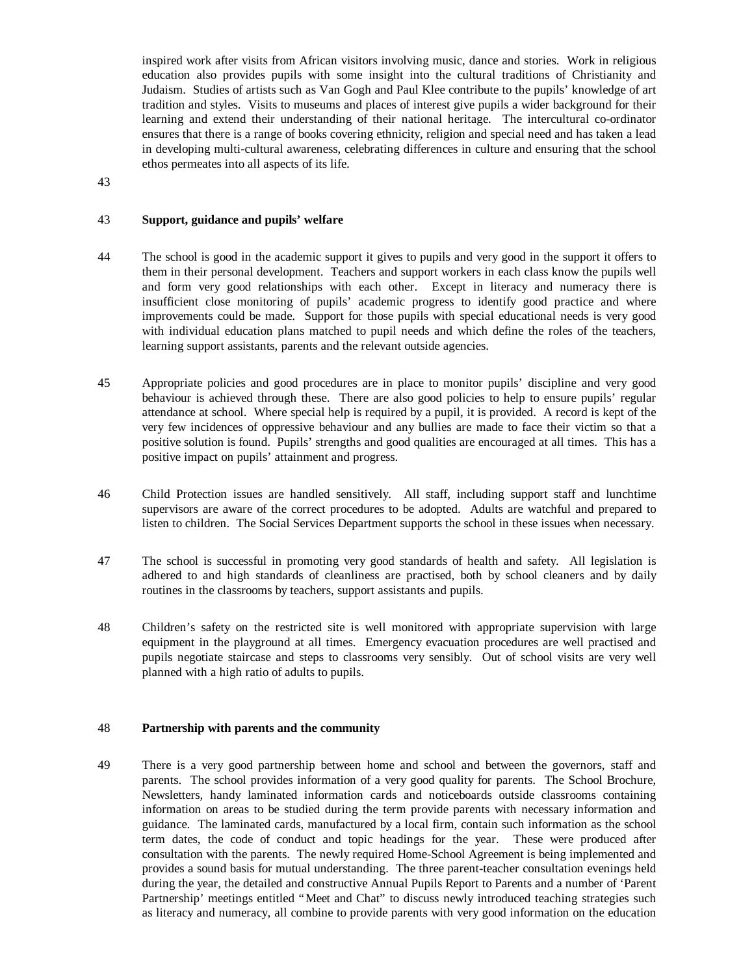inspired work after visits from African visitors involving music, dance and stories. Work in religious education also provides pupils with some insight into the cultural traditions of Christianity and Judaism. Studies of artists such as Van Gogh and Paul Klee contribute to the pupils' knowledge of art tradition and styles. Visits to museums and places of interest give pupils a wider background for their learning and extend their understanding of their national heritage. The intercultural co-ordinator ensures that there is a range of books covering ethnicity, religion and special need and has taken a lead in developing multi-cultural awareness, celebrating differences in culture and ensuring that the school ethos permeates into all aspects of its life.

43

#### 43 **Support, guidance and pupils' welfare**

- 44 The school is good in the academic support it gives to pupils and very good in the support it offers to them in their personal development. Teachers and support workers in each class know the pupils well and form very good relationships with each other. Except in literacy and numeracy there is insufficient close monitoring of pupils' academic progress to identify good practice and where improvements could be made. Support for those pupils with special educational needs is very good with individual education plans matched to pupil needs and which define the roles of the teachers, learning support assistants, parents and the relevant outside agencies.
- 45 Appropriate policies and good procedures are in place to monitor pupils' discipline and very good behaviour is achieved through these. There are also good policies to help to ensure pupils' regular attendance at school. Where special help is required by a pupil, it is provided. A record is kept of the very few incidences of oppressive behaviour and any bullies are made to face their victim so that a positive solution is found. Pupils' strengths and good qualities are encouraged at all times. This has a positive impact on pupils' attainment and progress.
- 46 Child Protection issues are handled sensitively. All staff, including support staff and lunchtime supervisors are aware of the correct procedures to be adopted. Adults are watchful and prepared to listen to children. The Social Services Department supports the school in these issues when necessary.
- 47 The school is successful in promoting very good standards of health and safety. All legislation is adhered to and high standards of cleanliness are practised, both by school cleaners and by daily routines in the classrooms by teachers, support assistants and pupils.
- 48 Children's safety on the restricted site is well monitored with appropriate supervision with large equipment in the playground at all times. Emergency evacuation procedures are well practised and pupils negotiate staircase and steps to classrooms very sensibly. Out of school visits are very well planned with a high ratio of adults to pupils.

#### 48 **Partnership with parents and the community**

49 There is a very good partnership between home and school and between the governors, staff and parents. The school provides information of a very good quality for parents. The School Brochure, Newsletters, handy laminated information cards and noticeboards outside classrooms containing information on areas to be studied during the term provide parents with necessary information and guidance. The laminated cards, manufactured by a local firm, contain such information as the school term dates, the code of conduct and topic headings for the year. These were produced after consultation with the parents. The newly required Home-School Agreement is being implemented and provides a sound basis for mutual understanding. The three parent-teacher consultation evenings held during the year, the detailed and constructive Annual Pupils Report to Parents and a number of 'Parent Partnership' meetings entitled "Meet and Chat" to discuss newly introduced teaching strategies such as literacy and numeracy, all combine to provide parents with very good information on the education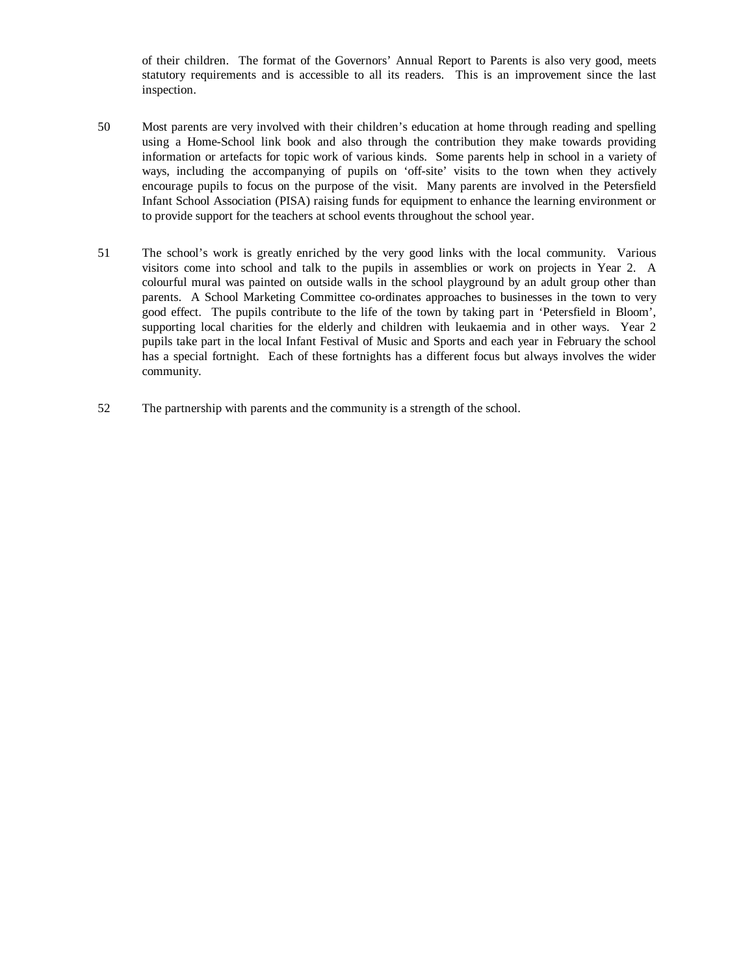of their children. The format of the Governors' Annual Report to Parents is also very good, meets statutory requirements and is accessible to all its readers. This is an improvement since the last inspection.

- 50 Most parents are very involved with their children's education at home through reading and spelling using a Home-School link book and also through the contribution they make towards providing information or artefacts for topic work of various kinds. Some parents help in school in a variety of ways, including the accompanying of pupils on 'off-site' visits to the town when they actively encourage pupils to focus on the purpose of the visit. Many parents are involved in the Petersfield Infant School Association (PISA) raising funds for equipment to enhance the learning environment or to provide support for the teachers at school events throughout the school year.
- 51 The school's work is greatly enriched by the very good links with the local community. Various visitors come into school and talk to the pupils in assemblies or work on projects in Year 2. A colourful mural was painted on outside walls in the school playground by an adult group other than parents. A School Marketing Committee co-ordinates approaches to businesses in the town to very good effect. The pupils contribute to the life of the town by taking part in 'Petersfield in Bloom', supporting local charities for the elderly and children with leukaemia and in other ways. Year 2 pupils take part in the local Infant Festival of Music and Sports and each year in February the school has a special fortnight. Each of these fortnights has a different focus but always involves the wider community.
- 52 The partnership with parents and the community is a strength of the school.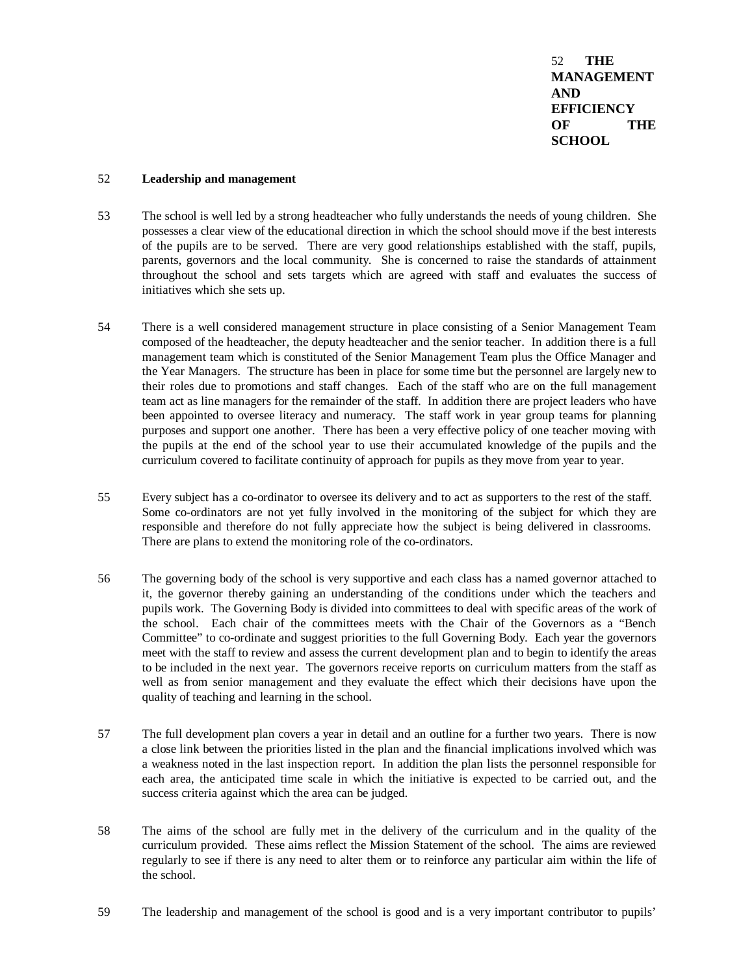52 **THE MANAGEMENT AND EFFICIENCY OF THE SCHOOL**

#### 52 **Leadership and management**

- 53 The school is well led by a strong headteacher who fully understands the needs of young children. She possesses a clear view of the educational direction in which the school should move if the best interests of the pupils are to be served. There are very good relationships established with the staff, pupils, parents, governors and the local community. She is concerned to raise the standards of attainment throughout the school and sets targets which are agreed with staff and evaluates the success of initiatives which she sets up.
- 54 There is a well considered management structure in place consisting of a Senior Management Team composed of the headteacher, the deputy headteacher and the senior teacher. In addition there is a full management team which is constituted of the Senior Management Team plus the Office Manager and the Year Managers. The structure has been in place for some time but the personnel are largely new to their roles due to promotions and staff changes. Each of the staff who are on the full management team act as line managers for the remainder of the staff. In addition there are project leaders who have been appointed to oversee literacy and numeracy. The staff work in year group teams for planning purposes and support one another. There has been a very effective policy of one teacher moving with the pupils at the end of the school year to use their accumulated knowledge of the pupils and the curriculum covered to facilitate continuity of approach for pupils as they move from year to year.
- 55 Every subject has a co-ordinator to oversee its delivery and to act as supporters to the rest of the staff. Some co-ordinators are not yet fully involved in the monitoring of the subject for which they are responsible and therefore do not fully appreciate how the subject is being delivered in classrooms. There are plans to extend the monitoring role of the co-ordinators.
- 56 The governing body of the school is very supportive and each class has a named governor attached to it, the governor thereby gaining an understanding of the conditions under which the teachers and pupils work. The Governing Body is divided into committees to deal with specific areas of the work of the school. Each chair of the committees meets with the Chair of the Governors as a "Bench Committee" to co-ordinate and suggest priorities to the full Governing Body. Each year the governors meet with the staff to review and assess the current development plan and to begin to identify the areas to be included in the next year. The governors receive reports on curriculum matters from the staff as well as from senior management and they evaluate the effect which their decisions have upon the quality of teaching and learning in the school.
- 57 The full development plan covers a year in detail and an outline for a further two years. There is now a close link between the priorities listed in the plan and the financial implications involved which was a weakness noted in the last inspection report. In addition the plan lists the personnel responsible for each area, the anticipated time scale in which the initiative is expected to be carried out, and the success criteria against which the area can be judged.
- 58 The aims of the school are fully met in the delivery of the curriculum and in the quality of the curriculum provided. These aims reflect the Mission Statement of the school. The aims are reviewed regularly to see if there is any need to alter them or to reinforce any particular aim within the life of the school.
- 59 The leadership and management of the school is good and is a very important contributor to pupils'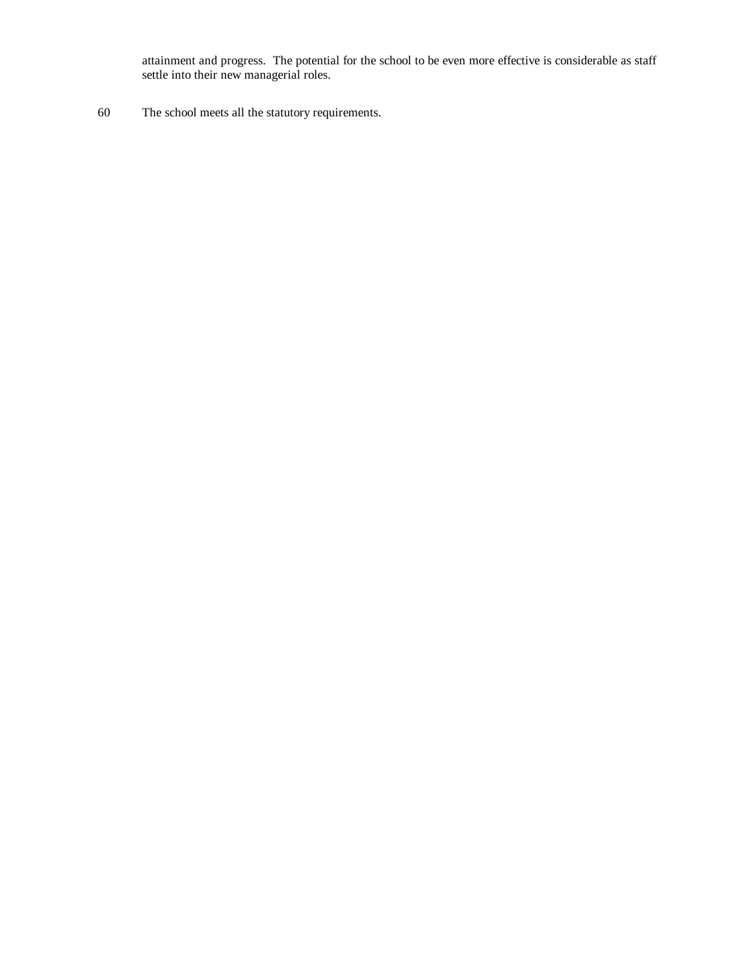attainment and progress. The potential for the school to be even more effective is considerable as staff settle into their new managerial roles.

60 The school meets all the statutory requirements.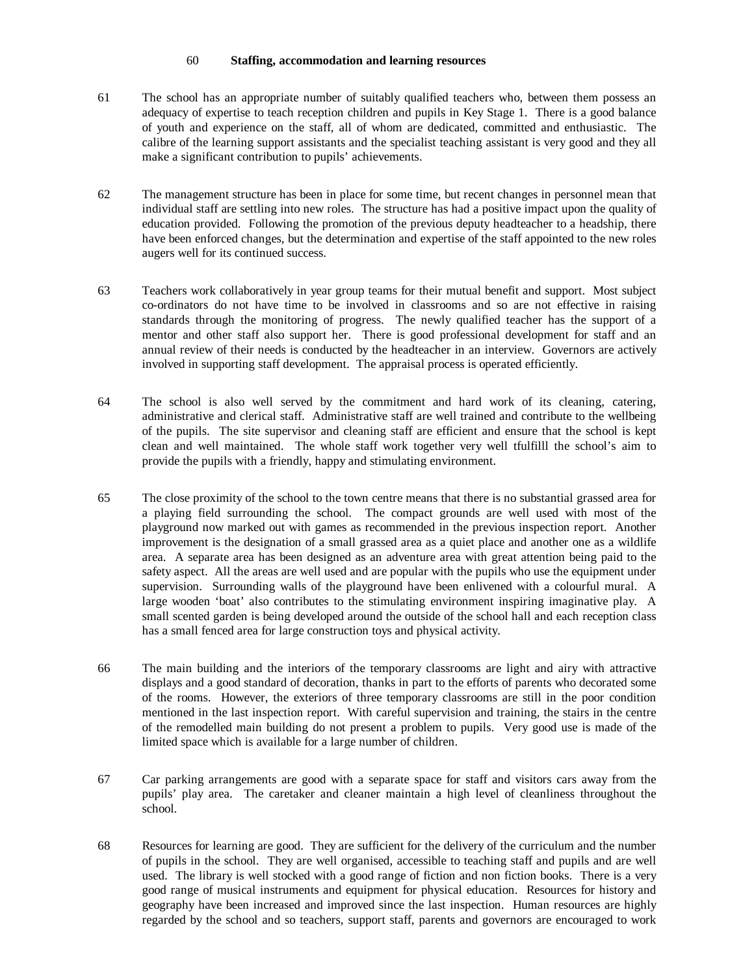#### 60 **Staffing, accommodation and learning resources**

- 61 The school has an appropriate number of suitably qualified teachers who, between them possess an adequacy of expertise to teach reception children and pupils in Key Stage 1. There is a good balance of youth and experience on the staff, all of whom are dedicated, committed and enthusiastic. The calibre of the learning support assistants and the specialist teaching assistant is very good and they all make a significant contribution to pupils' achievements.
- 62 The management structure has been in place for some time, but recent changes in personnel mean that individual staff are settling into new roles. The structure has had a positive impact upon the quality of education provided. Following the promotion of the previous deputy headteacher to a headship, there have been enforced changes, but the determination and expertise of the staff appointed to the new roles augers well for its continued success.
- 63 Teachers work collaboratively in year group teams for their mutual benefit and support. Most subject co-ordinators do not have time to be involved in classrooms and so are not effective in raising standards through the monitoring of progress. The newly qualified teacher has the support of a mentor and other staff also support her. There is good professional development for staff and an annual review of their needs is conducted by the headteacher in an interview. Governors are actively involved in supporting staff development. The appraisal process is operated efficiently.
- 64 The school is also well served by the commitment and hard work of its cleaning, catering, administrative and clerical staff. Administrative staff are well trained and contribute to the wellbeing of the pupils. The site supervisor and cleaning staff are efficient and ensure that the school is kept clean and well maintained. The whole staff work together very well tfulfilll the school's aim to provide the pupils with a friendly, happy and stimulating environment.
- 65 The close proximity of the school to the town centre means that there is no substantial grassed area for a playing field surrounding the school. The compact grounds are well used with most of the playground now marked out with games as recommended in the previous inspection report. Another improvement is the designation of a small grassed area as a quiet place and another one as a wildlife area. A separate area has been designed as an adventure area with great attention being paid to the safety aspect. All the areas are well used and are popular with the pupils who use the equipment under supervision. Surrounding walls of the playground have been enlivened with a colourful mural. A large wooden 'boat' also contributes to the stimulating environment inspiring imaginative play. A small scented garden is being developed around the outside of the school hall and each reception class has a small fenced area for large construction toys and physical activity.
- 66 The main building and the interiors of the temporary classrooms are light and airy with attractive displays and a good standard of decoration, thanks in part to the efforts of parents who decorated some of the rooms. However, the exteriors of three temporary classrooms are still in the poor condition mentioned in the last inspection report. With careful supervision and training, the stairs in the centre of the remodelled main building do not present a problem to pupils. Very good use is made of the limited space which is available for a large number of children.
- 67 Car parking arrangements are good with a separate space for staff and visitors cars away from the pupils' play area. The caretaker and cleaner maintain a high level of cleanliness throughout the school.
- 68 Resources for learning are good. They are sufficient for the delivery of the curriculum and the number of pupils in the school. They are well organised, accessible to teaching staff and pupils and are well used. The library is well stocked with a good range of fiction and non fiction books. There is a very good range of musical instruments and equipment for physical education. Resources for history and geography have been increased and improved since the last inspection. Human resources are highly regarded by the school and so teachers, support staff, parents and governors are encouraged to work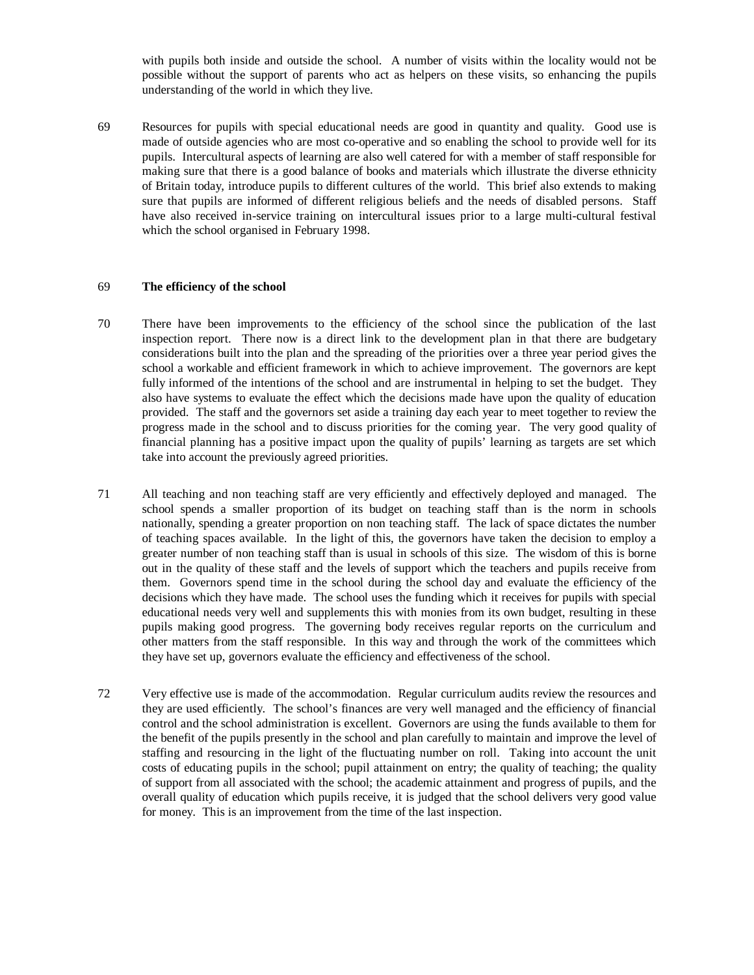with pupils both inside and outside the school. A number of visits within the locality would not be possible without the support of parents who act as helpers on these visits, so enhancing the pupils understanding of the world in which they live.

69 Resources for pupils with special educational needs are good in quantity and quality. Good use is made of outside agencies who are most co-operative and so enabling the school to provide well for its pupils. Intercultural aspects of learning are also well catered for with a member of staff responsible for making sure that there is a good balance of books and materials which illustrate the diverse ethnicity of Britain today, introduce pupils to different cultures of the world. This brief also extends to making sure that pupils are informed of different religious beliefs and the needs of disabled persons. Staff have also received in-service training on intercultural issues prior to a large multi-cultural festival which the school organised in February 1998.

#### 69 **The efficiency of the school**

- 70 There have been improvements to the efficiency of the school since the publication of the last inspection report. There now is a direct link to the development plan in that there are budgetary considerations built into the plan and the spreading of the priorities over a three year period gives the school a workable and efficient framework in which to achieve improvement. The governors are kept fully informed of the intentions of the school and are instrumental in helping to set the budget. They also have systems to evaluate the effect which the decisions made have upon the quality of education provided. The staff and the governors set aside a training day each year to meet together to review the progress made in the school and to discuss priorities for the coming year. The very good quality of financial planning has a positive impact upon the quality of pupils' learning as targets are set which take into account the previously agreed priorities.
- 71 All teaching and non teaching staff are very efficiently and effectively deployed and managed. The school spends a smaller proportion of its budget on teaching staff than is the norm in schools nationally, spending a greater proportion on non teaching staff. The lack of space dictates the number of teaching spaces available. In the light of this, the governors have taken the decision to employ a greater number of non teaching staff than is usual in schools of this size. The wisdom of this is borne out in the quality of these staff and the levels of support which the teachers and pupils receive from them. Governors spend time in the school during the school day and evaluate the efficiency of the decisions which they have made. The school uses the funding which it receives for pupils with special educational needs very well and supplements this with monies from its own budget, resulting in these pupils making good progress. The governing body receives regular reports on the curriculum and other matters from the staff responsible. In this way and through the work of the committees which they have set up, governors evaluate the efficiency and effectiveness of the school.
- 72 Very effective use is made of the accommodation. Regular curriculum audits review the resources and they are used efficiently. The school's finances are very well managed and the efficiency of financial control and the school administration is excellent. Governors are using the funds available to them for the benefit of the pupils presently in the school and plan carefully to maintain and improve the level of staffing and resourcing in the light of the fluctuating number on roll. Taking into account the unit costs of educating pupils in the school; pupil attainment on entry; the quality of teaching; the quality of support from all associated with the school; the academic attainment and progress of pupils, and the overall quality of education which pupils receive, it is judged that the school delivers very good value for money. This is an improvement from the time of the last inspection.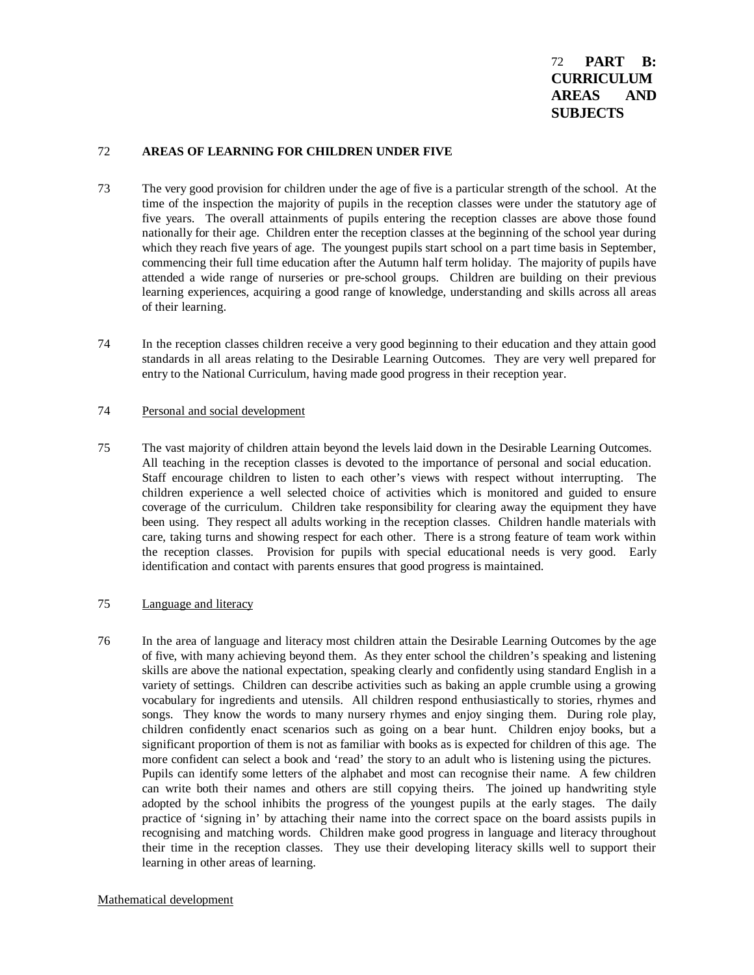#### 72 **AREAS OF LEARNING FOR CHILDREN UNDER FIVE**

- 73 The very good provision for children under the age of five is a particular strength of the school. At the time of the inspection the majority of pupils in the reception classes were under the statutory age of five years. The overall attainments of pupils entering the reception classes are above those found nationally for their age. Children enter the reception classes at the beginning of the school year during which they reach five years of age. The youngest pupils start school on a part time basis in September, commencing their full time education after the Autumn half term holiday. The majority of pupils have attended a wide range of nurseries or pre-school groups. Children are building on their previous learning experiences, acquiring a good range of knowledge, understanding and skills across all areas of their learning.
- 74 In the reception classes children receive a very good beginning to their education and they attain good standards in all areas relating to the Desirable Learning Outcomes. They are very well prepared for entry to the National Curriculum, having made good progress in their reception year.

#### 74 Personal and social development

75 The vast majority of children attain beyond the levels laid down in the Desirable Learning Outcomes. All teaching in the reception classes is devoted to the importance of personal and social education. Staff encourage children to listen to each other's views with respect without interrupting. The children experience a well selected choice of activities which is monitored and guided to ensure coverage of the curriculum. Children take responsibility for clearing away the equipment they have been using. They respect all adults working in the reception classes. Children handle materials with care, taking turns and showing respect for each other. There is a strong feature of team work within the reception classes. Provision for pupils with special educational needs is very good. Early identification and contact with parents ensures that good progress is maintained.

### 75 Language and literacy

76 In the area of language and literacy most children attain the Desirable Learning Outcomes by the age of five, with many achieving beyond them. As they enter school the children's speaking and listening skills are above the national expectation, speaking clearly and confidently using standard English in a variety of settings. Children can describe activities such as baking an apple crumble using a growing vocabulary for ingredients and utensils. All children respond enthusiastically to stories, rhymes and songs. They know the words to many nursery rhymes and enjoy singing them. During role play, children confidently enact scenarios such as going on a bear hunt. Children enjoy books, but a significant proportion of them is not as familiar with books as is expected for children of this age. The more confident can select a book and 'read' the story to an adult who is listening using the pictures. Pupils can identify some letters of the alphabet and most can recognise their name. A few children can write both their names and others are still copying theirs. The joined up handwriting style adopted by the school inhibits the progress of the youngest pupils at the early stages. The daily practice of 'signing in' by attaching their name into the correct space on the board assists pupils in recognising and matching words. Children make good progress in language and literacy throughout their time in the reception classes. They use their developing literacy skills well to support their learning in other areas of learning.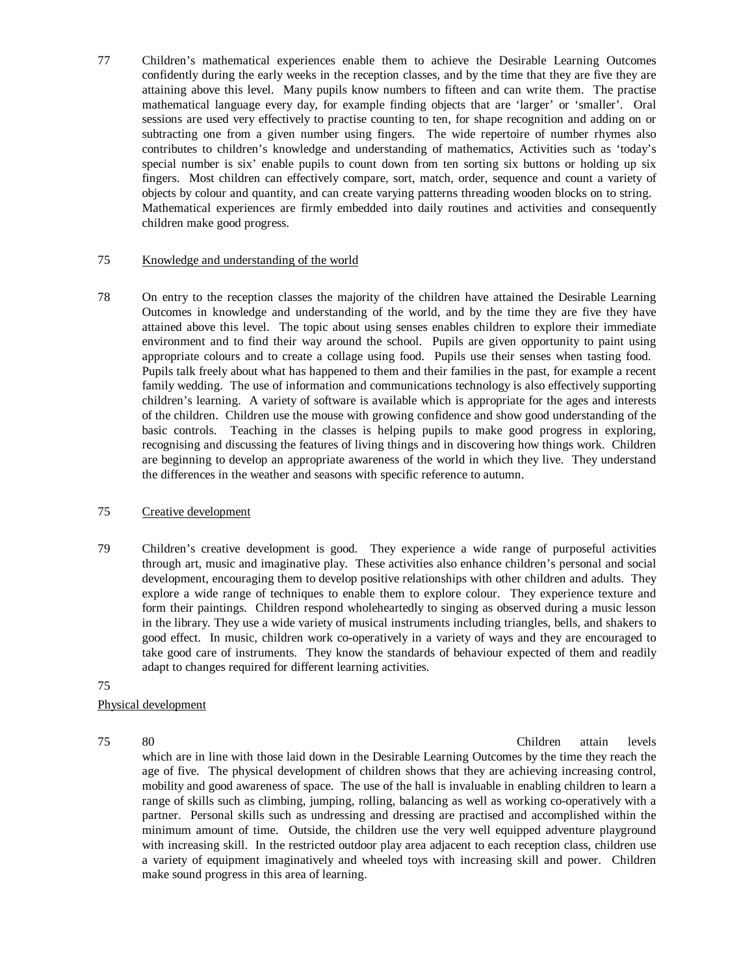77 Children's mathematical experiences enable them to achieve the Desirable Learning Outcomes confidently during the early weeks in the reception classes, and by the time that they are five they are attaining above this level. Many pupils know numbers to fifteen and can write them. The practise mathematical language every day, for example finding objects that are 'larger' or 'smaller'. Oral sessions are used very effectively to practise counting to ten, for shape recognition and adding on or subtracting one from a given number using fingers. The wide repertoire of number rhymes also contributes to children's knowledge and understanding of mathematics, Activities such as 'today's special number is six' enable pupils to count down from ten sorting six buttons or holding up six fingers. Most children can effectively compare, sort, match, order, sequence and count a variety of objects by colour and quantity, and can create varying patterns threading wooden blocks on to string. Mathematical experiences are firmly embedded into daily routines and activities and consequently children make good progress.

#### 75 Knowledge and understanding of the world

78 On entry to the reception classes the majority of the children have attained the Desirable Learning Outcomes in knowledge and understanding of the world, and by the time they are five they have attained above this level. The topic about using senses enables children to explore their immediate environment and to find their way around the school. Pupils are given opportunity to paint using appropriate colours and to create a collage using food. Pupils use their senses when tasting food. Pupils talk freely about what has happened to them and their families in the past, for example a recent family wedding. The use of information and communications technology is also effectively supporting children's learning. A variety of software is available which is appropriate for the ages and interests of the children. Children use the mouse with growing confidence and show good understanding of the basic controls. Teaching in the classes is helping pupils to make good progress in exploring, recognising and discussing the features of living things and in discovering how things work. Children are beginning to develop an appropriate awareness of the world in which they live. They understand the differences in the weather and seasons with specific reference to autumn.

### 75 Creative development

- 79 Children's creative development is good. They experience a wide range of purposeful activities through art, music and imaginative play. These activities also enhance children's personal and social development, encouraging them to develop positive relationships with other children and adults. They explore a wide range of techniques to enable them to explore colour. They experience texture and form their paintings. Children respond wholeheartedly to singing as observed during a music lesson in the library. They use a wide variety of musical instruments including triangles, bells, and shakers to good effect. In music, children work co-operatively in a variety of ways and they are encouraged to take good care of instruments. They know the standards of behaviour expected of them and readily adapt to changes required for different learning activities.
- 75

### Physical development

75 80 Children attain levels

which are in line with those laid down in the Desirable Learning Outcomes by the time they reach the age of five. The physical development of children shows that they are achieving increasing control, mobility and good awareness of space. The use of the hall is invaluable in enabling children to learn a range of skills such as climbing, jumping, rolling, balancing as well as working co-operatively with a partner. Personal skills such as undressing and dressing are practised and accomplished within the minimum amount of time. Outside, the children use the very well equipped adventure playground with increasing skill. In the restricted outdoor play area adjacent to each reception class, children use a variety of equipment imaginatively and wheeled toys with increasing skill and power. Children make sound progress in this area of learning.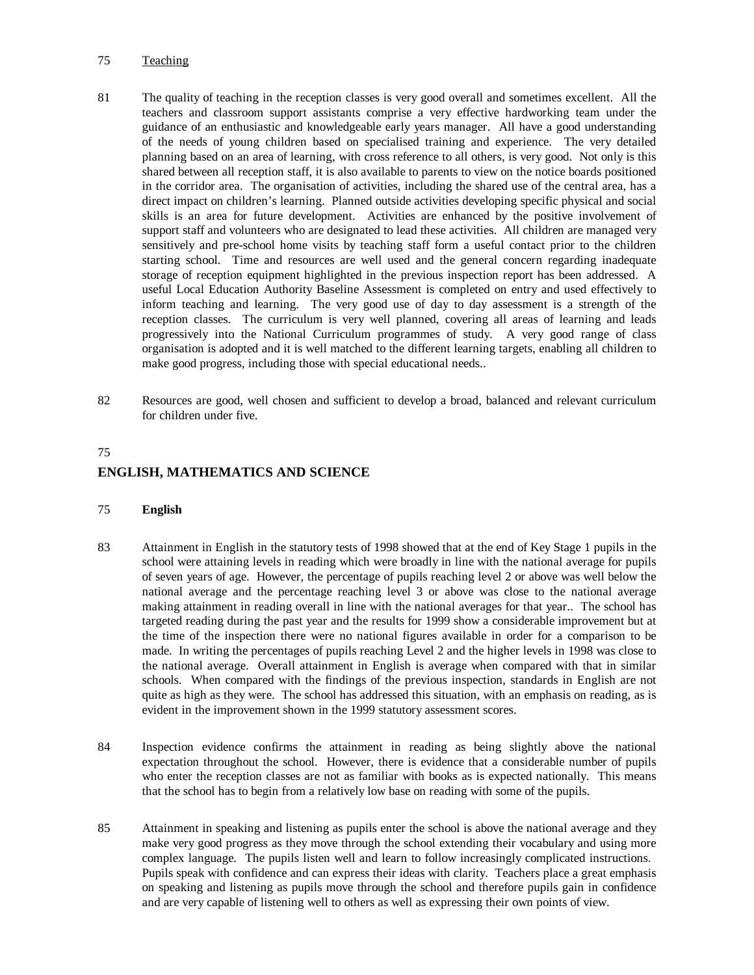## 75 Teaching

- 81 The quality of teaching in the reception classes is very good overall and sometimes excellent. All the teachers and classroom support assistants comprise a very effective hardworking team under the guidance of an enthusiastic and knowledgeable early years manager. All have a good understanding of the needs of young children based on specialised training and experience. The very detailed planning based on an area of learning, with cross reference to all others, is very good. Not only is this shared between all reception staff, it is also available to parents to view on the notice boards positioned in the corridor area. The organisation of activities, including the shared use of the central area, has a direct impact on children's learning. Planned outside activities developing specific physical and social skills is an area for future development. Activities are enhanced by the positive involvement of support staff and volunteers who are designated to lead these activities. All children are managed very sensitively and pre-school home visits by teaching staff form a useful contact prior to the children starting school. Time and resources are well used and the general concern regarding inadequate storage of reception equipment highlighted in the previous inspection report has been addressed. A useful Local Education Authority Baseline Assessment is completed on entry and used effectively to inform teaching and learning. The very good use of day to day assessment is a strength of the reception classes. The curriculum is very well planned, covering all areas of learning and leads progressively into the National Curriculum programmes of study. A very good range of class organisation is adopted and it is well matched to the different learning targets, enabling all children to make good progress, including those with special educational needs..
- 82 Resources are good, well chosen and sufficient to develop a broad, balanced and relevant curriculum for children under five.

#### 75

### **ENGLISH, MATHEMATICS AND SCIENCE**

#### 75 **English**

- 83 Attainment in English in the statutory tests of 1998 showed that at the end of Key Stage 1 pupils in the school were attaining levels in reading which were broadly in line with the national average for pupils of seven years of age. However, the percentage of pupils reaching level 2 or above was well below the national average and the percentage reaching level 3 or above was close to the national average making attainment in reading overall in line with the national averages for that year.. The school has targeted reading during the past year and the results for 1999 show a considerable improvement but at the time of the inspection there were no national figures available in order for a comparison to be made. In writing the percentages of pupils reaching Level 2 and the higher levels in 1998 was close to the national average. Overall attainment in English is average when compared with that in similar schools. When compared with the findings of the previous inspection, standards in English are not quite as high as they were. The school has addressed this situation, with an emphasis on reading, as is evident in the improvement shown in the 1999 statutory assessment scores.
- 84 Inspection evidence confirms the attainment in reading as being slightly above the national expectation throughout the school. However, there is evidence that a considerable number of pupils who enter the reception classes are not as familiar with books as is expected nationally. This means that the school has to begin from a relatively low base on reading with some of the pupils.
- 85 Attainment in speaking and listening as pupils enter the school is above the national average and they make very good progress as they move through the school extending their vocabulary and using more complex language. The pupils listen well and learn to follow increasingly complicated instructions. Pupils speak with confidence and can express their ideas with clarity. Teachers place a great emphasis on speaking and listening as pupils move through the school and therefore pupils gain in confidence and are very capable of listening well to others as well as expressing their own points of view.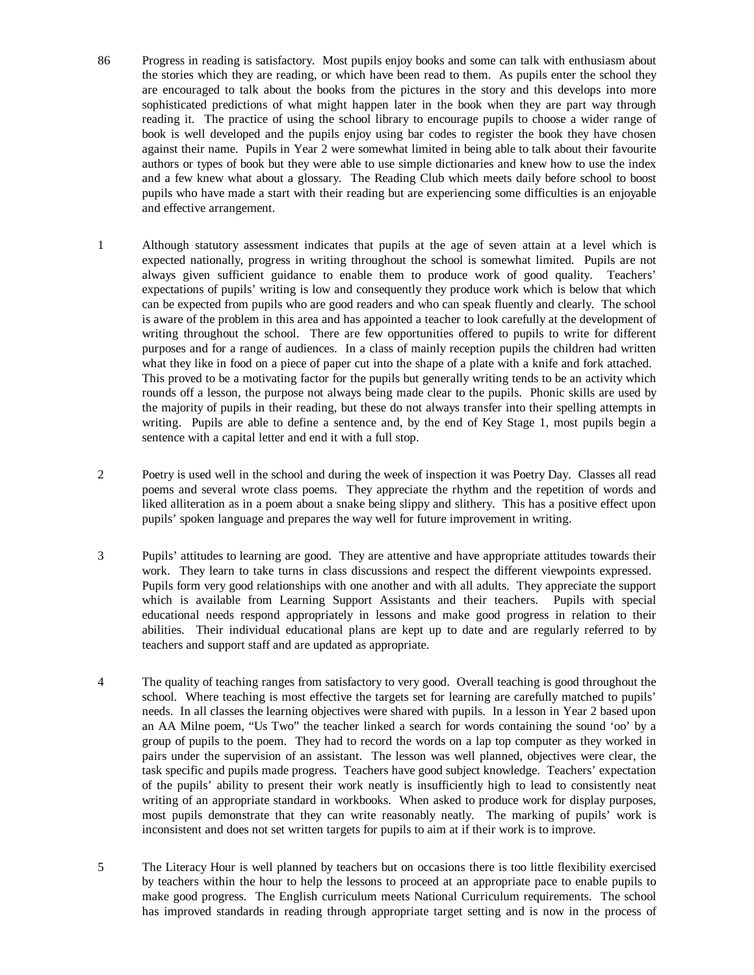- 86 Progress in reading is satisfactory. Most pupils enjoy books and some can talk with enthusiasm about the stories which they are reading, or which have been read to them. As pupils enter the school they are encouraged to talk about the books from the pictures in the story and this develops into more sophisticated predictions of what might happen later in the book when they are part way through reading it. The practice of using the school library to encourage pupils to choose a wider range of book is well developed and the pupils enjoy using bar codes to register the book they have chosen against their name. Pupils in Year 2 were somewhat limited in being able to talk about their favourite authors or types of book but they were able to use simple dictionaries and knew how to use the index and a few knew what about a glossary. The Reading Club which meets daily before school to boost pupils who have made a start with their reading but are experiencing some difficulties is an enjoyable and effective arrangement.
- 1 Although statutory assessment indicates that pupils at the age of seven attain at a level which is expected nationally, progress in writing throughout the school is somewhat limited. Pupils are not always given sufficient guidance to enable them to produce work of good quality. Teachers' expectations of pupils' writing is low and consequently they produce work which is below that which can be expected from pupils who are good readers and who can speak fluently and clearly. The school is aware of the problem in this area and has appointed a teacher to look carefully at the development of writing throughout the school. There are few opportunities offered to pupils to write for different purposes and for a range of audiences. In a class of mainly reception pupils the children had written what they like in food on a piece of paper cut into the shape of a plate with a knife and fork attached. This proved to be a motivating factor for the pupils but generally writing tends to be an activity which rounds off a lesson, the purpose not always being made clear to the pupils. Phonic skills are used by the majority of pupils in their reading, but these do not always transfer into their spelling attempts in writing. Pupils are able to define a sentence and, by the end of Key Stage 1, most pupils begin a sentence with a capital letter and end it with a full stop.
- 2 Poetry is used well in the school and during the week of inspection it was Poetry Day. Classes all read poems and several wrote class poems. They appreciate the rhythm and the repetition of words and liked alliteration as in a poem about a snake being slippy and slithery. This has a positive effect upon pupils' spoken language and prepares the way well for future improvement in writing.
- 3 Pupils' attitudes to learning are good. They are attentive and have appropriate attitudes towards their work. They learn to take turns in class discussions and respect the different viewpoints expressed. Pupils form very good relationships with one another and with all adults. They appreciate the support which is available from Learning Support Assistants and their teachers. Pupils with special educational needs respond appropriately in lessons and make good progress in relation to their abilities. Their individual educational plans are kept up to date and are regularly referred to by teachers and support staff and are updated as appropriate.
- 4 The quality of teaching ranges from satisfactory to very good. Overall teaching is good throughout the school. Where teaching is most effective the targets set for learning are carefully matched to pupils' needs. In all classes the learning objectives were shared with pupils. In a lesson in Year 2 based upon an AA Milne poem, "Us Two" the teacher linked a search for words containing the sound 'oo' by a group of pupils to the poem. They had to record the words on a lap top computer as they worked in pairs under the supervision of an assistant. The lesson was well planned, objectives were clear, the task specific and pupils made progress. Teachers have good subject knowledge. Teachers' expectation of the pupils' ability to present their work neatly is insufficiently high to lead to consistently neat writing of an appropriate standard in workbooks. When asked to produce work for display purposes, most pupils demonstrate that they can write reasonably neatly. The marking of pupils' work is inconsistent and does not set written targets for pupils to aim at if their work is to improve.
- 5 The Literacy Hour is well planned by teachers but on occasions there is too little flexibility exercised by teachers within the hour to help the lessons to proceed at an appropriate pace to enable pupils to make good progress. The English curriculum meets National Curriculum requirements. The school has improved standards in reading through appropriate target setting and is now in the process of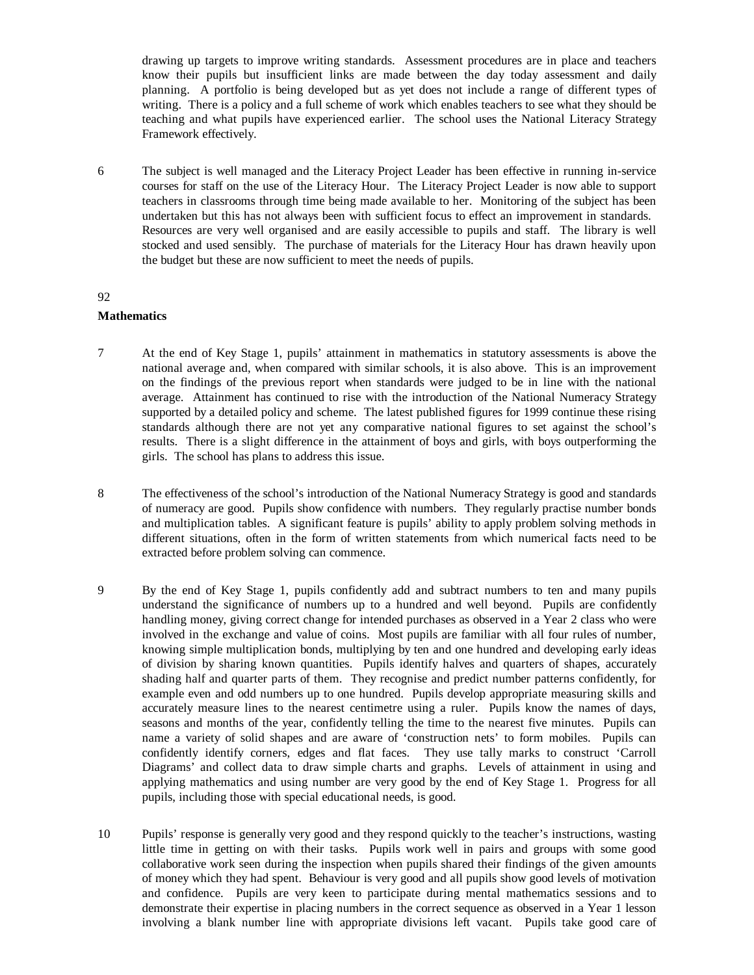drawing up targets to improve writing standards. Assessment procedures are in place and teachers know their pupils but insufficient links are made between the day today assessment and daily planning. A portfolio is being developed but as yet does not include a range of different types of writing. There is a policy and a full scheme of work which enables teachers to see what they should be teaching and what pupils have experienced earlier. The school uses the National Literacy Strategy Framework effectively.

6 The subject is well managed and the Literacy Project Leader has been effective in running in-service courses for staff on the use of the Literacy Hour. The Literacy Project Leader is now able to support teachers in classrooms through time being made available to her. Monitoring of the subject has been undertaken but this has not always been with sufficient focus to effect an improvement in standards. Resources are very well organised and are easily accessible to pupils and staff. The library is well stocked and used sensibly. The purchase of materials for the Literacy Hour has drawn heavily upon the budget but these are now sufficient to meet the needs of pupils.

#### 92

#### **Mathematics**

- 7 At the end of Key Stage 1, pupils' attainment in mathematics in statutory assessments is above the national average and, when compared with similar schools, it is also above. This is an improvement on the findings of the previous report when standards were judged to be in line with the national average. Attainment has continued to rise with the introduction of the National Numeracy Strategy supported by a detailed policy and scheme. The latest published figures for 1999 continue these rising standards although there are not yet any comparative national figures to set against the school's results. There is a slight difference in the attainment of boys and girls, with boys outperforming the girls. The school has plans to address this issue.
- 8 The effectiveness of the school's introduction of the National Numeracy Strategy is good and standards of numeracy are good. Pupils show confidence with numbers. They regularly practise number bonds and multiplication tables. A significant feature is pupils' ability to apply problem solving methods in different situations, often in the form of written statements from which numerical facts need to be extracted before problem solving can commence.
- 9 By the end of Key Stage 1, pupils confidently add and subtract numbers to ten and many pupils understand the significance of numbers up to a hundred and well beyond. Pupils are confidently handling money, giving correct change for intended purchases as observed in a Year 2 class who were involved in the exchange and value of coins. Most pupils are familiar with all four rules of number, knowing simple multiplication bonds, multiplying by ten and one hundred and developing early ideas of division by sharing known quantities. Pupils identify halves and quarters of shapes, accurately shading half and quarter parts of them. They recognise and predict number patterns confidently, for example even and odd numbers up to one hundred. Pupils develop appropriate measuring skills and accurately measure lines to the nearest centimetre using a ruler. Pupils know the names of days, seasons and months of the year, confidently telling the time to the nearest five minutes. Pupils can name a variety of solid shapes and are aware of 'construction nets' to form mobiles. Pupils can confidently identify corners, edges and flat faces. They use tally marks to construct 'Carroll Diagrams' and collect data to draw simple charts and graphs. Levels of attainment in using and applying mathematics and using number are very good by the end of Key Stage 1. Progress for all pupils, including those with special educational needs, is good.
- 10 Pupils' response is generally very good and they respond quickly to the teacher's instructions, wasting little time in getting on with their tasks. Pupils work well in pairs and groups with some good collaborative work seen during the inspection when pupils shared their findings of the given amounts of money which they had spent. Behaviour is very good and all pupils show good levels of motivation and confidence. Pupils are very keen to participate during mental mathematics sessions and to demonstrate their expertise in placing numbers in the correct sequence as observed in a Year 1 lesson involving a blank number line with appropriate divisions left vacant. Pupils take good care of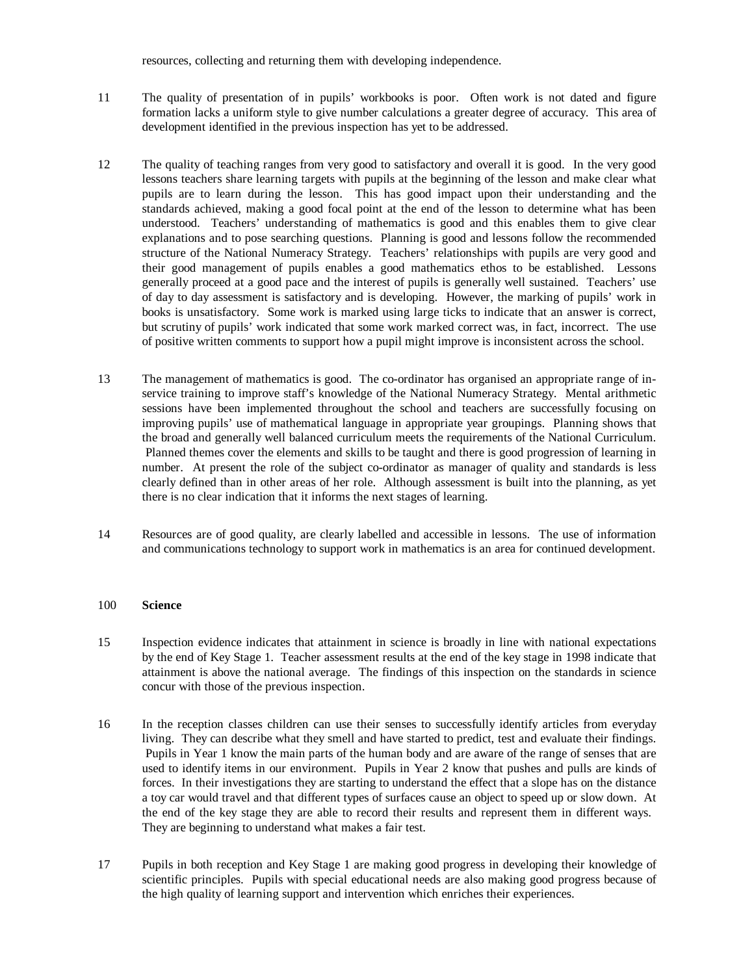resources, collecting and returning them with developing independence.

- 11 The quality of presentation of in pupils' workbooks is poor. Often work is not dated and figure formation lacks a uniform style to give number calculations a greater degree of accuracy. This area of development identified in the previous inspection has yet to be addressed.
- 12 The quality of teaching ranges from very good to satisfactory and overall it is good. In the very good lessons teachers share learning targets with pupils at the beginning of the lesson and make clear what pupils are to learn during the lesson. This has good impact upon their understanding and the standards achieved, making a good focal point at the end of the lesson to determine what has been understood. Teachers' understanding of mathematics is good and this enables them to give clear explanations and to pose searching questions. Planning is good and lessons follow the recommended structure of the National Numeracy Strategy. Teachers' relationships with pupils are very good and their good management of pupils enables a good mathematics ethos to be established. Lessons generally proceed at a good pace and the interest of pupils is generally well sustained. Teachers' use of day to day assessment is satisfactory and is developing. However, the marking of pupils' work in books is unsatisfactory. Some work is marked using large ticks to indicate that an answer is correct, but scrutiny of pupils' work indicated that some work marked correct was, in fact, incorrect. The use of positive written comments to support how a pupil might improve is inconsistent across the school.
- 13 The management of mathematics is good. The co-ordinator has organised an appropriate range of inservice training to improve staff's knowledge of the National Numeracy Strategy. Mental arithmetic sessions have been implemented throughout the school and teachers are successfully focusing on improving pupils' use of mathematical language in appropriate year groupings. Planning shows that the broad and generally well balanced curriculum meets the requirements of the National Curriculum. Planned themes cover the elements and skills to be taught and there is good progression of learning in number. At present the role of the subject co-ordinator as manager of quality and standards is less clearly defined than in other areas of her role. Although assessment is built into the planning, as yet there is no clear indication that it informs the next stages of learning.
- 14 Resources are of good quality, are clearly labelled and accessible in lessons. The use of information and communications technology to support work in mathematics is an area for continued development.

#### 100 **Science**

- 15 Inspection evidence indicates that attainment in science is broadly in line with national expectations by the end of Key Stage 1. Teacher assessment results at the end of the key stage in 1998 indicate that attainment is above the national average. The findings of this inspection on the standards in science concur with those of the previous inspection.
- 16 In the reception classes children can use their senses to successfully identify articles from everyday living. They can describe what they smell and have started to predict, test and evaluate their findings. Pupils in Year 1 know the main parts of the human body and are aware of the range of senses that are used to identify items in our environment. Pupils in Year 2 know that pushes and pulls are kinds of forces. In their investigations they are starting to understand the effect that a slope has on the distance a toy car would travel and that different types of surfaces cause an object to speed up or slow down. At the end of the key stage they are able to record their results and represent them in different ways. They are beginning to understand what makes a fair test.
- 17 Pupils in both reception and Key Stage 1 are making good progress in developing their knowledge of scientific principles. Pupils with special educational needs are also making good progress because of the high quality of learning support and intervention which enriches their experiences.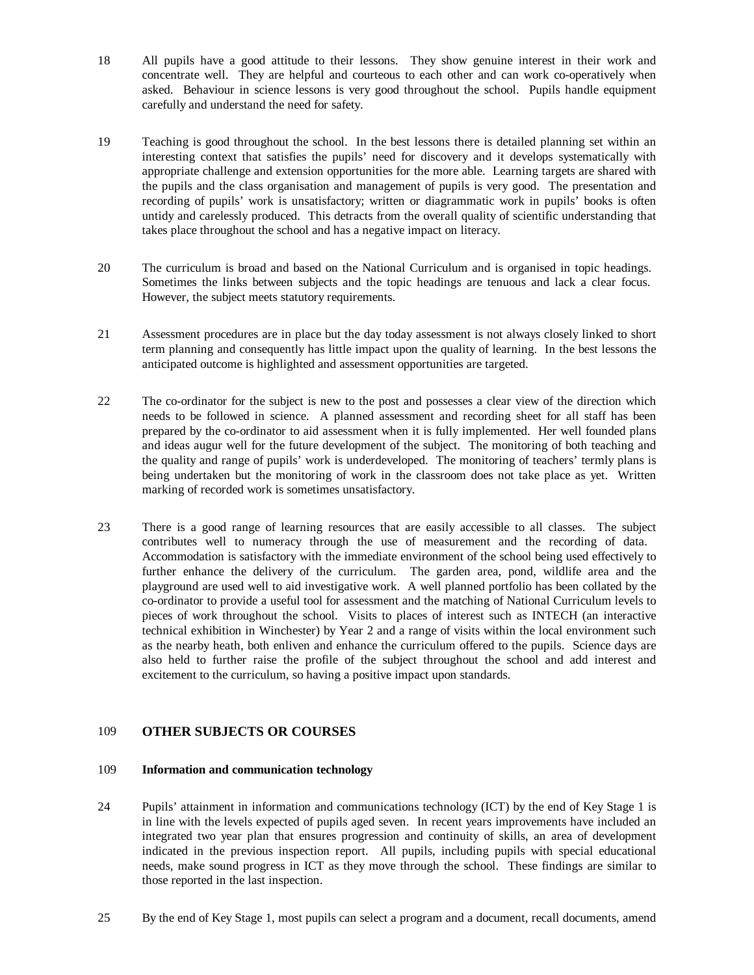- 18 All pupils have a good attitude to their lessons. They show genuine interest in their work and concentrate well. They are helpful and courteous to each other and can work co-operatively when asked. Behaviour in science lessons is very good throughout the school. Pupils handle equipment carefully and understand the need for safety.
- 19 Teaching is good throughout the school. In the best lessons there is detailed planning set within an interesting context that satisfies the pupils' need for discovery and it develops systematically with appropriate challenge and extension opportunities for the more able. Learning targets are shared with the pupils and the class organisation and management of pupils is very good. The presentation and recording of pupils' work is unsatisfactory; written or diagrammatic work in pupils' books is often untidy and carelessly produced. This detracts from the overall quality of scientific understanding that takes place throughout the school and has a negative impact on literacy.
- 20 The curriculum is broad and based on the National Curriculum and is organised in topic headings. Sometimes the links between subjects and the topic headings are tenuous and lack a clear focus. However, the subject meets statutory requirements.
- 21 Assessment procedures are in place but the day today assessment is not always closely linked to short term planning and consequently has little impact upon the quality of learning. In the best lessons the anticipated outcome is highlighted and assessment opportunities are targeted.
- 22 The co-ordinator for the subject is new to the post and possesses a clear view of the direction which needs to be followed in science. A planned assessment and recording sheet for all staff has been prepared by the co-ordinator to aid assessment when it is fully implemented. Her well founded plans and ideas augur well for the future development of the subject. The monitoring of both teaching and the quality and range of pupils' work is underdeveloped. The monitoring of teachers' termly plans is being undertaken but the monitoring of work in the classroom does not take place as yet. Written marking of recorded work is sometimes unsatisfactory.
- 23 There is a good range of learning resources that are easily accessible to all classes. The subject contributes well to numeracy through the use of measurement and the recording of data. Accommodation is satisfactory with the immediate environment of the school being used effectively to further enhance the delivery of the curriculum. The garden area, pond, wildlife area and the playground are used well to aid investigative work. A well planned portfolio has been collated by the co-ordinator to provide a useful tool for assessment and the matching of National Curriculum levels to pieces of work throughout the school. Visits to places of interest such as INTECH (an interactive technical exhibition in Winchester) by Year 2 and a range of visits within the local environment such as the nearby heath, both enliven and enhance the curriculum offered to the pupils. Science days are also held to further raise the profile of the subject throughout the school and add interest and excitement to the curriculum, so having a positive impact upon standards.

### 109 **OTHER SUBJECTS OR COURSES**

#### 109 **Information and communication technology**

- 24 Pupils' attainment in information and communications technology (ICT) by the end of Key Stage 1 is in line with the levels expected of pupils aged seven. In recent years improvements have included an integrated two year plan that ensures progression and continuity of skills, an area of development indicated in the previous inspection report. All pupils, including pupils with special educational needs, make sound progress in ICT as they move through the school. These findings are similar to those reported in the last inspection.
- 25 By the end of Key Stage 1, most pupils can select a program and a document, recall documents, amend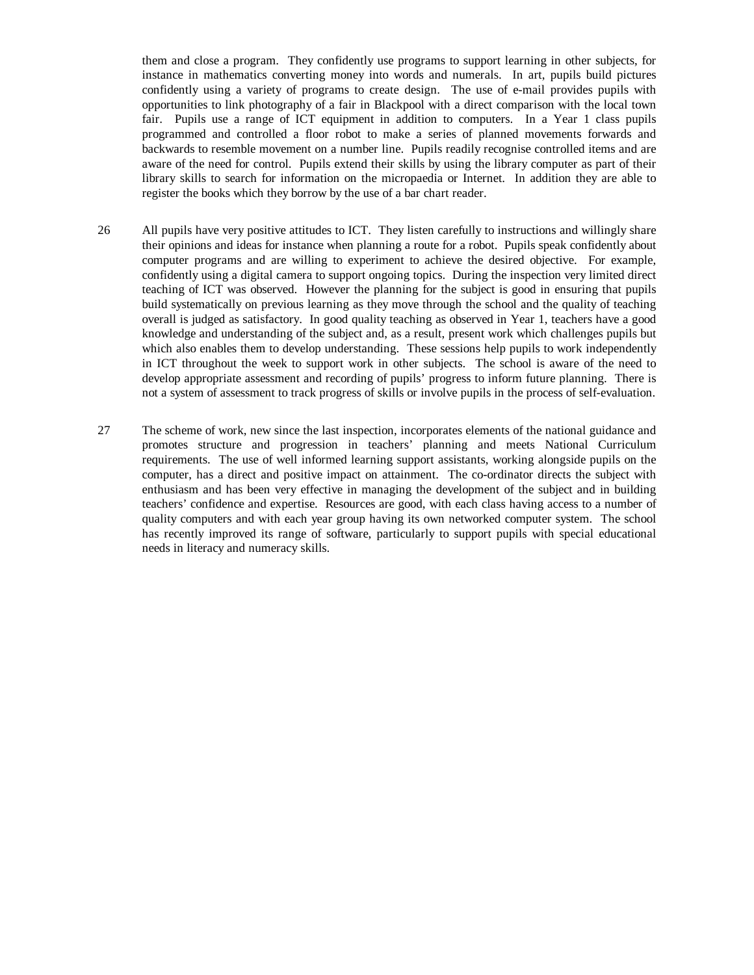them and close a program. They confidently use programs to support learning in other subjects, for instance in mathematics converting money into words and numerals. In art, pupils build pictures confidently using a variety of programs to create design. The use of e-mail provides pupils with opportunities to link photography of a fair in Blackpool with a direct comparison with the local town fair. Pupils use a range of ICT equipment in addition to computers. In a Year 1 class pupils programmed and controlled a floor robot to make a series of planned movements forwards and backwards to resemble movement on a number line. Pupils readily recognise controlled items and are aware of the need for control. Pupils extend their skills by using the library computer as part of their library skills to search for information on the micropaedia or Internet. In addition they are able to register the books which they borrow by the use of a bar chart reader.

- 26 All pupils have very positive attitudes to ICT. They listen carefully to instructions and willingly share their opinions and ideas for instance when planning a route for a robot. Pupils speak confidently about computer programs and are willing to experiment to achieve the desired objective. For example, confidently using a digital camera to support ongoing topics. During the inspection very limited direct teaching of ICT was observed. However the planning for the subject is good in ensuring that pupils build systematically on previous learning as they move through the school and the quality of teaching overall is judged as satisfactory. In good quality teaching as observed in Year 1, teachers have a good knowledge and understanding of the subject and, as a result, present work which challenges pupils but which also enables them to develop understanding. These sessions help pupils to work independently in ICT throughout the week to support work in other subjects. The school is aware of the need to develop appropriate assessment and recording of pupils' progress to inform future planning. There is not a system of assessment to track progress of skills or involve pupils in the process of self-evaluation.
- 27 The scheme of work, new since the last inspection, incorporates elements of the national guidance and promotes structure and progression in teachers' planning and meets National Curriculum requirements. The use of well informed learning support assistants, working alongside pupils on the computer, has a direct and positive impact on attainment. The co-ordinator directs the subject with enthusiasm and has been very effective in managing the development of the subject and in building teachers' confidence and expertise. Resources are good, with each class having access to a number of quality computers and with each year group having its own networked computer system. The school has recently improved its range of software, particularly to support pupils with special educational needs in literacy and numeracy skills.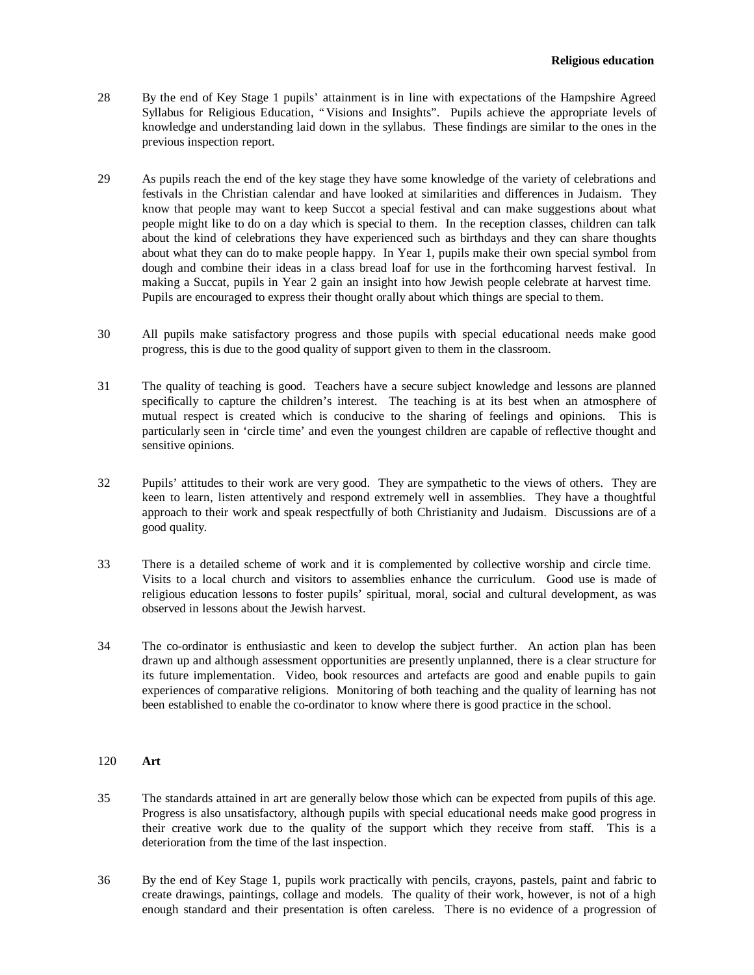- 28 By the end of Key Stage 1 pupils' attainment is in line with expectations of the Hampshire Agreed Syllabus for Religious Education, "Visions and Insights". Pupils achieve the appropriate levels of knowledge and understanding laid down in the syllabus. These findings are similar to the ones in the previous inspection report.
- 29 As pupils reach the end of the key stage they have some knowledge of the variety of celebrations and festivals in the Christian calendar and have looked at similarities and differences in Judaism. They know that people may want to keep Succot a special festival and can make suggestions about what people might like to do on a day which is special to them. In the reception classes, children can talk about the kind of celebrations they have experienced such as birthdays and they can share thoughts about what they can do to make people happy. In Year 1, pupils make their own special symbol from dough and combine their ideas in a class bread loaf for use in the forthcoming harvest festival. In making a Succat, pupils in Year 2 gain an insight into how Jewish people celebrate at harvest time. Pupils are encouraged to express their thought orally about which things are special to them.
- 30 All pupils make satisfactory progress and those pupils with special educational needs make good progress, this is due to the good quality of support given to them in the classroom.
- 31 The quality of teaching is good. Teachers have a secure subject knowledge and lessons are planned specifically to capture the children's interest. The teaching is at its best when an atmosphere of mutual respect is created which is conducive to the sharing of feelings and opinions. This is particularly seen in 'circle time' and even the youngest children are capable of reflective thought and sensitive opinions.
- 32 Pupils' attitudes to their work are very good. They are sympathetic to the views of others. They are keen to learn, listen attentively and respond extremely well in assemblies. They have a thoughtful approach to their work and speak respectfully of both Christianity and Judaism. Discussions are of a good quality.
- 33 There is a detailed scheme of work and it is complemented by collective worship and circle time. Visits to a local church and visitors to assemblies enhance the curriculum. Good use is made of religious education lessons to foster pupils' spiritual, moral, social and cultural development, as was observed in lessons about the Jewish harvest.
- 34 The co-ordinator is enthusiastic and keen to develop the subject further. An action plan has been drawn up and although assessment opportunities are presently unplanned, there is a clear structure for its future implementation. Video, book resources and artefacts are good and enable pupils to gain experiences of comparative religions. Monitoring of both teaching and the quality of learning has not been established to enable the co-ordinator to know where there is good practice in the school.

#### 120 **Art**

- 35 The standards attained in art are generally below those which can be expected from pupils of this age. Progress is also unsatisfactory, although pupils with special educational needs make good progress in their creative work due to the quality of the support which they receive from staff. This is a deterioration from the time of the last inspection.
- 36 By the end of Key Stage 1, pupils work practically with pencils, crayons, pastels, paint and fabric to create drawings, paintings, collage and models. The quality of their work, however, is not of a high enough standard and their presentation is often careless. There is no evidence of a progression of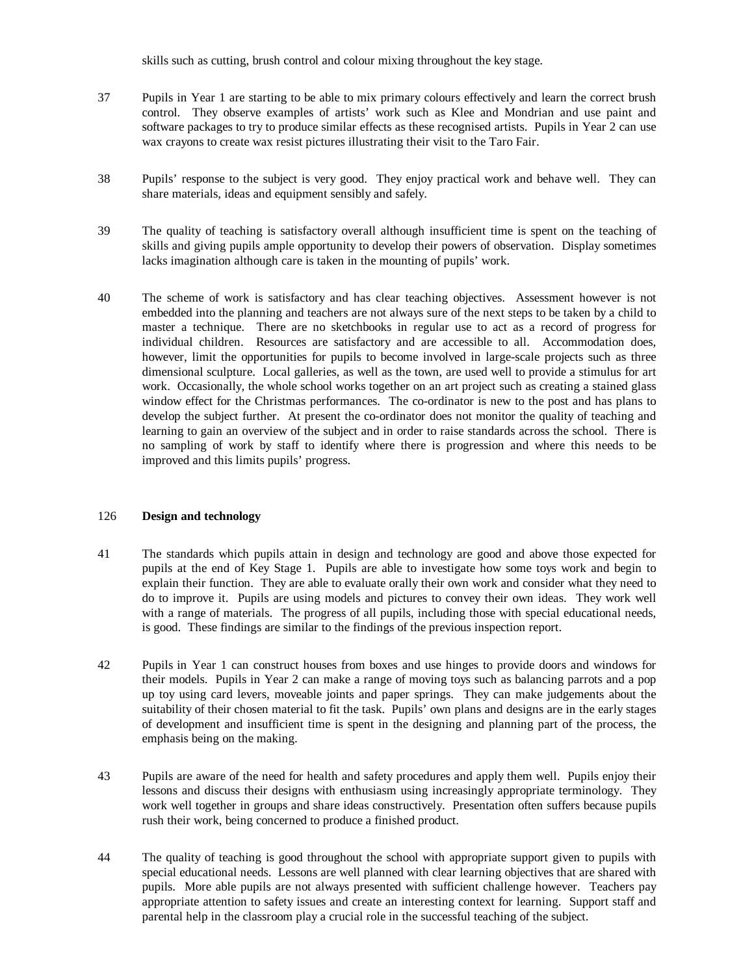skills such as cutting, brush control and colour mixing throughout the key stage.

- 37 Pupils in Year 1 are starting to be able to mix primary colours effectively and learn the correct brush control. They observe examples of artists' work such as Klee and Mondrian and use paint and software packages to try to produce similar effects as these recognised artists. Pupils in Year 2 can use wax crayons to create wax resist pictures illustrating their visit to the Taro Fair.
- 38 Pupils' response to the subject is very good. They enjoy practical work and behave well. They can share materials, ideas and equipment sensibly and safely.
- 39 The quality of teaching is satisfactory overall although insufficient time is spent on the teaching of skills and giving pupils ample opportunity to develop their powers of observation. Display sometimes lacks imagination although care is taken in the mounting of pupils' work.
- 40 The scheme of work is satisfactory and has clear teaching objectives. Assessment however is not embedded into the planning and teachers are not always sure of the next steps to be taken by a child to master a technique. There are no sketchbooks in regular use to act as a record of progress for individual children. Resources are satisfactory and are accessible to all. Accommodation does, however, limit the opportunities for pupils to become involved in large-scale projects such as three dimensional sculpture. Local galleries, as well as the town, are used well to provide a stimulus for art work. Occasionally, the whole school works together on an art project such as creating a stained glass window effect for the Christmas performances. The co-ordinator is new to the post and has plans to develop the subject further. At present the co-ordinator does not monitor the quality of teaching and learning to gain an overview of the subject and in order to raise standards across the school. There is no sampling of work by staff to identify where there is progression and where this needs to be improved and this limits pupils' progress.

### 126 **Design and technology**

- 41 The standards which pupils attain in design and technology are good and above those expected for pupils at the end of Key Stage 1. Pupils are able to investigate how some toys work and begin to explain their function. They are able to evaluate orally their own work and consider what they need to do to improve it. Pupils are using models and pictures to convey their own ideas. They work well with a range of materials. The progress of all pupils, including those with special educational needs, is good. These findings are similar to the findings of the previous inspection report.
- 42 Pupils in Year 1 can construct houses from boxes and use hinges to provide doors and windows for their models. Pupils in Year 2 can make a range of moving toys such as balancing parrots and a pop up toy using card levers, moveable joints and paper springs. They can make judgements about the suitability of their chosen material to fit the task. Pupils' own plans and designs are in the early stages of development and insufficient time is spent in the designing and planning part of the process, the emphasis being on the making.
- 43 Pupils are aware of the need for health and safety procedures and apply them well. Pupils enjoy their lessons and discuss their designs with enthusiasm using increasingly appropriate terminology. They work well together in groups and share ideas constructively. Presentation often suffers because pupils rush their work, being concerned to produce a finished product.
- 44 The quality of teaching is good throughout the school with appropriate support given to pupils with special educational needs. Lessons are well planned with clear learning objectives that are shared with pupils. More able pupils are not always presented with sufficient challenge however. Teachers pay appropriate attention to safety issues and create an interesting context for learning. Support staff and parental help in the classroom play a crucial role in the successful teaching of the subject.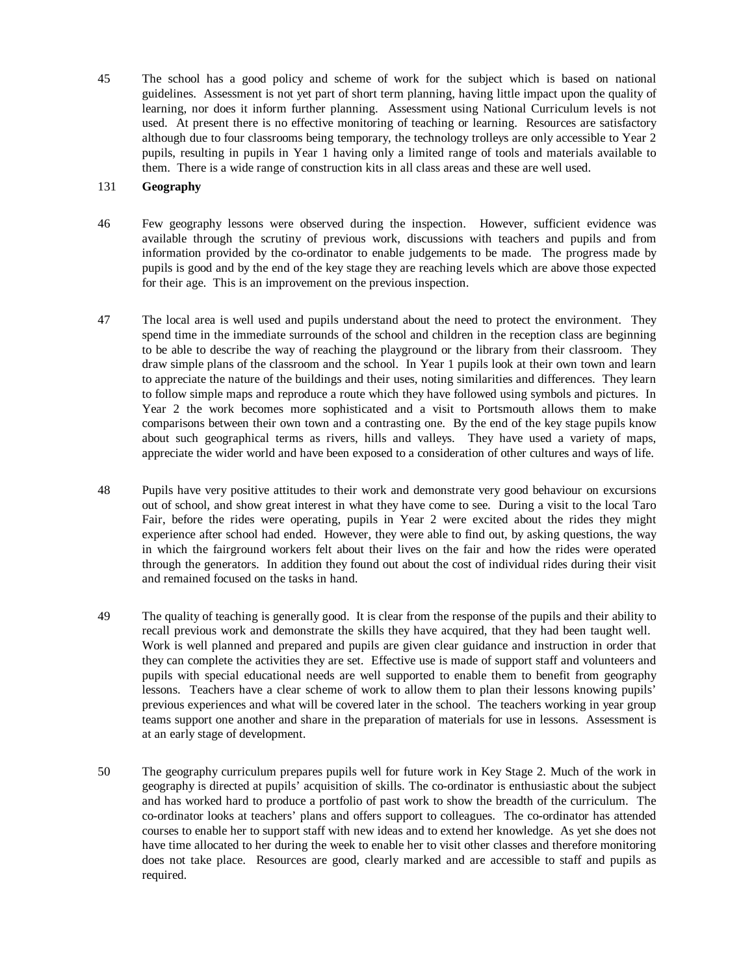45 The school has a good policy and scheme of work for the subject which is based on national guidelines. Assessment is not yet part of short term planning, having little impact upon the quality of learning, nor does it inform further planning. Assessment using National Curriculum levels is not used. At present there is no effective monitoring of teaching or learning. Resources are satisfactory although due to four classrooms being temporary, the technology trolleys are only accessible to Year 2 pupils, resulting in pupils in Year 1 having only a limited range of tools and materials available to them. There is a wide range of construction kits in all class areas and these are well used.

#### 131 **Geography**

- 46 Few geography lessons were observed during the inspection. However, sufficient evidence was available through the scrutiny of previous work, discussions with teachers and pupils and from information provided by the co-ordinator to enable judgements to be made. The progress made by pupils is good and by the end of the key stage they are reaching levels which are above those expected for their age. This is an improvement on the previous inspection.
- 47 The local area is well used and pupils understand about the need to protect the environment. They spend time in the immediate surrounds of the school and children in the reception class are beginning to be able to describe the way of reaching the playground or the library from their classroom. They draw simple plans of the classroom and the school. In Year 1 pupils look at their own town and learn to appreciate the nature of the buildings and their uses, noting similarities and differences. They learn to follow simple maps and reproduce a route which they have followed using symbols and pictures. In Year 2 the work becomes more sophisticated and a visit to Portsmouth allows them to make comparisons between their own town and a contrasting one. By the end of the key stage pupils know about such geographical terms as rivers, hills and valleys. They have used a variety of maps, appreciate the wider world and have been exposed to a consideration of other cultures and ways of life.
- 48 Pupils have very positive attitudes to their work and demonstrate very good behaviour on excursions out of school, and show great interest in what they have come to see. During a visit to the local Taro Fair, before the rides were operating, pupils in Year 2 were excited about the rides they might experience after school had ended. However, they were able to find out, by asking questions, the way in which the fairground workers felt about their lives on the fair and how the rides were operated through the generators. In addition they found out about the cost of individual rides during their visit and remained focused on the tasks in hand.
- 49 The quality of teaching is generally good. It is clear from the response of the pupils and their ability to recall previous work and demonstrate the skills they have acquired, that they had been taught well. Work is well planned and prepared and pupils are given clear guidance and instruction in order that they can complete the activities they are set. Effective use is made of support staff and volunteers and pupils with special educational needs are well supported to enable them to benefit from geography lessons. Teachers have a clear scheme of work to allow them to plan their lessons knowing pupils' previous experiences and what will be covered later in the school. The teachers working in year group teams support one another and share in the preparation of materials for use in lessons. Assessment is at an early stage of development.
- 50 The geography curriculum prepares pupils well for future work in Key Stage 2. Much of the work in geography is directed at pupils' acquisition of skills. The co-ordinator is enthusiastic about the subject and has worked hard to produce a portfolio of past work to show the breadth of the curriculum. The co-ordinator looks at teachers' plans and offers support to colleagues. The co-ordinator has attended courses to enable her to support staff with new ideas and to extend her knowledge. As yet she does not have time allocated to her during the week to enable her to visit other classes and therefore monitoring does not take place. Resources are good, clearly marked and are accessible to staff and pupils as required.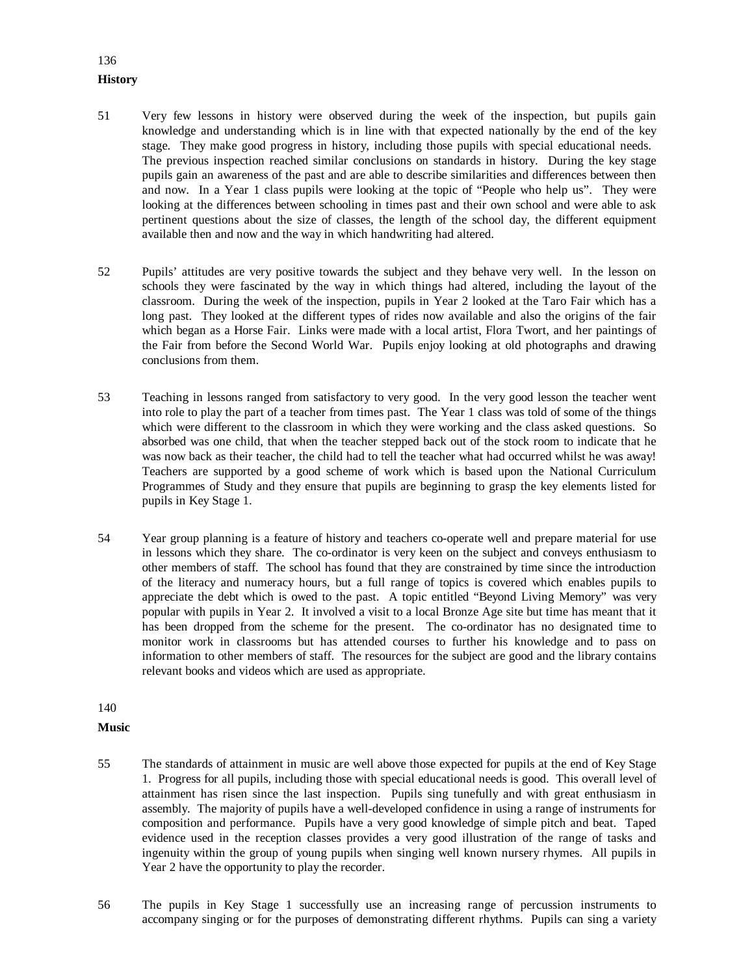# **History**

136

- 51 Very few lessons in history were observed during the week of the inspection, but pupils gain knowledge and understanding which is in line with that expected nationally by the end of the key stage. They make good progress in history, including those pupils with special educational needs. The previous inspection reached similar conclusions on standards in history. During the key stage pupils gain an awareness of the past and are able to describe similarities and differences between then and now. In a Year 1 class pupils were looking at the topic of "People who help us". They were looking at the differences between schooling in times past and their own school and were able to ask pertinent questions about the size of classes, the length of the school day, the different equipment available then and now and the way in which handwriting had altered.
- 52 Pupils' attitudes are very positive towards the subject and they behave very well. In the lesson on schools they were fascinated by the way in which things had altered, including the layout of the classroom. During the week of the inspection, pupils in Year 2 looked at the Taro Fair which has a long past. They looked at the different types of rides now available and also the origins of the fair which began as a Horse Fair. Links were made with a local artist, Flora Twort, and her paintings of the Fair from before the Second World War. Pupils enjoy looking at old photographs and drawing conclusions from them.
- 53 Teaching in lessons ranged from satisfactory to very good. In the very good lesson the teacher went into role to play the part of a teacher from times past. The Year 1 class was told of some of the things which were different to the classroom in which they were working and the class asked questions. So absorbed was one child, that when the teacher stepped back out of the stock room to indicate that he was now back as their teacher, the child had to tell the teacher what had occurred whilst he was away! Teachers are supported by a good scheme of work which is based upon the National Curriculum Programmes of Study and they ensure that pupils are beginning to grasp the key elements listed for pupils in Key Stage 1.
- 54 Year group planning is a feature of history and teachers co-operate well and prepare material for use in lessons which they share. The co-ordinator is very keen on the subject and conveys enthusiasm to other members of staff. The school has found that they are constrained by time since the introduction of the literacy and numeracy hours, but a full range of topics is covered which enables pupils to appreciate the debt which is owed to the past. A topic entitled "Beyond Living Memory" was very popular with pupils in Year 2. It involved a visit to a local Bronze Age site but time has meant that it has been dropped from the scheme for the present. The co-ordinator has no designated time to monitor work in classrooms but has attended courses to further his knowledge and to pass on information to other members of staff. The resources for the subject are good and the library contains relevant books and videos which are used as appropriate.

140

#### **Music**

- 55 The standards of attainment in music are well above those expected for pupils at the end of Key Stage 1. Progress for all pupils, including those with special educational needs is good. This overall level of attainment has risen since the last inspection. Pupils sing tunefully and with great enthusiasm in assembly. The majority of pupils have a well-developed confidence in using a range of instruments for composition and performance. Pupils have a very good knowledge of simple pitch and beat. Taped evidence used in the reception classes provides a very good illustration of the range of tasks and ingenuity within the group of young pupils when singing well known nursery rhymes. All pupils in Year 2 have the opportunity to play the recorder.
- 56 The pupils in Key Stage 1 successfully use an increasing range of percussion instruments to accompany singing or for the purposes of demonstrating different rhythms. Pupils can sing a variety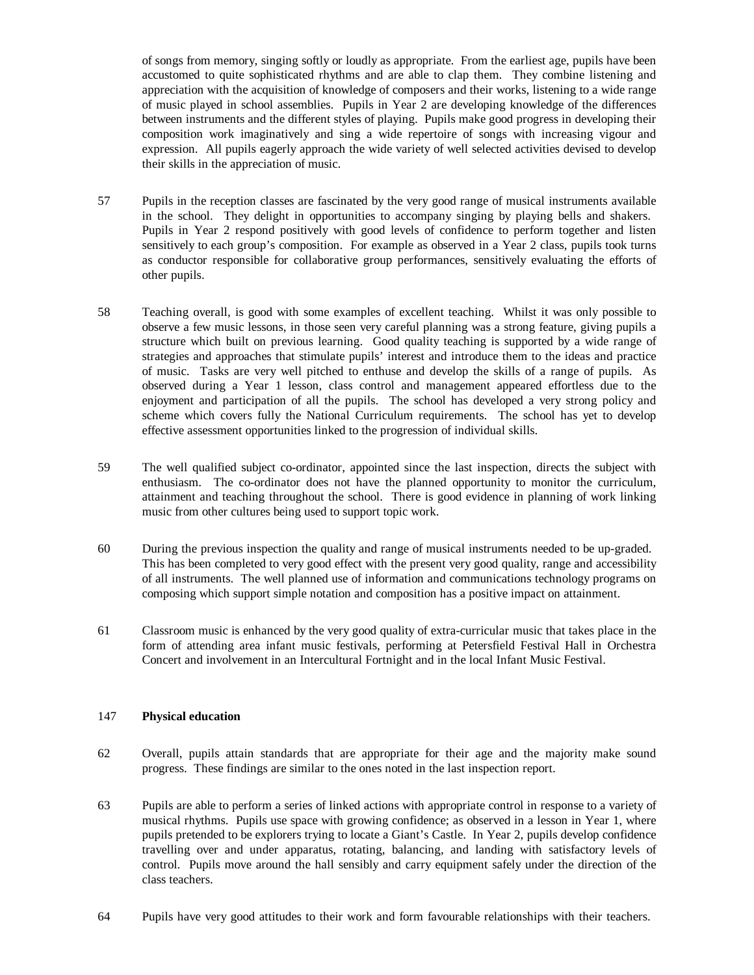of songs from memory, singing softly or loudly as appropriate. From the earliest age, pupils have been accustomed to quite sophisticated rhythms and are able to clap them. They combine listening and appreciation with the acquisition of knowledge of composers and their works, listening to a wide range of music played in school assemblies. Pupils in Year 2 are developing knowledge of the differences between instruments and the different styles of playing. Pupils make good progress in developing their composition work imaginatively and sing a wide repertoire of songs with increasing vigour and expression. All pupils eagerly approach the wide variety of well selected activities devised to develop their skills in the appreciation of music.

- 57 Pupils in the reception classes are fascinated by the very good range of musical instruments available in the school. They delight in opportunities to accompany singing by playing bells and shakers. Pupils in Year 2 respond positively with good levels of confidence to perform together and listen sensitively to each group's composition. For example as observed in a Year 2 class, pupils took turns as conductor responsible for collaborative group performances, sensitively evaluating the efforts of other pupils.
- 58 Teaching overall, is good with some examples of excellent teaching. Whilst it was only possible to observe a few music lessons, in those seen very careful planning was a strong feature, giving pupils a structure which built on previous learning. Good quality teaching is supported by a wide range of strategies and approaches that stimulate pupils' interest and introduce them to the ideas and practice of music. Tasks are very well pitched to enthuse and develop the skills of a range of pupils. As observed during a Year 1 lesson, class control and management appeared effortless due to the enjoyment and participation of all the pupils. The school has developed a very strong policy and scheme which covers fully the National Curriculum requirements. The school has yet to develop effective assessment opportunities linked to the progression of individual skills.
- 59 The well qualified subject co-ordinator, appointed since the last inspection, directs the subject with enthusiasm. The co-ordinator does not have the planned opportunity to monitor the curriculum, attainment and teaching throughout the school. There is good evidence in planning of work linking music from other cultures being used to support topic work.
- 60 During the previous inspection the quality and range of musical instruments needed to be up-graded. This has been completed to very good effect with the present very good quality, range and accessibility of all instruments. The well planned use of information and communications technology programs on composing which support simple notation and composition has a positive impact on attainment.
- 61 Classroom music is enhanced by the very good quality of extra-curricular music that takes place in the form of attending area infant music festivals, performing at Petersfield Festival Hall in Orchestra Concert and involvement in an Intercultural Fortnight and in the local Infant Music Festival.

### 147 **Physical education**

- 62 Overall, pupils attain standards that are appropriate for their age and the majority make sound progress. These findings are similar to the ones noted in the last inspection report.
- 63 Pupils are able to perform a series of linked actions with appropriate control in response to a variety of musical rhythms. Pupils use space with growing confidence; as observed in a lesson in Year 1, where pupils pretended to be explorers trying to locate a Giant's Castle. In Year 2, pupils develop confidence travelling over and under apparatus, rotating, balancing, and landing with satisfactory levels of control. Pupils move around the hall sensibly and carry equipment safely under the direction of the class teachers.
- 64 Pupils have very good attitudes to their work and form favourable relationships with their teachers.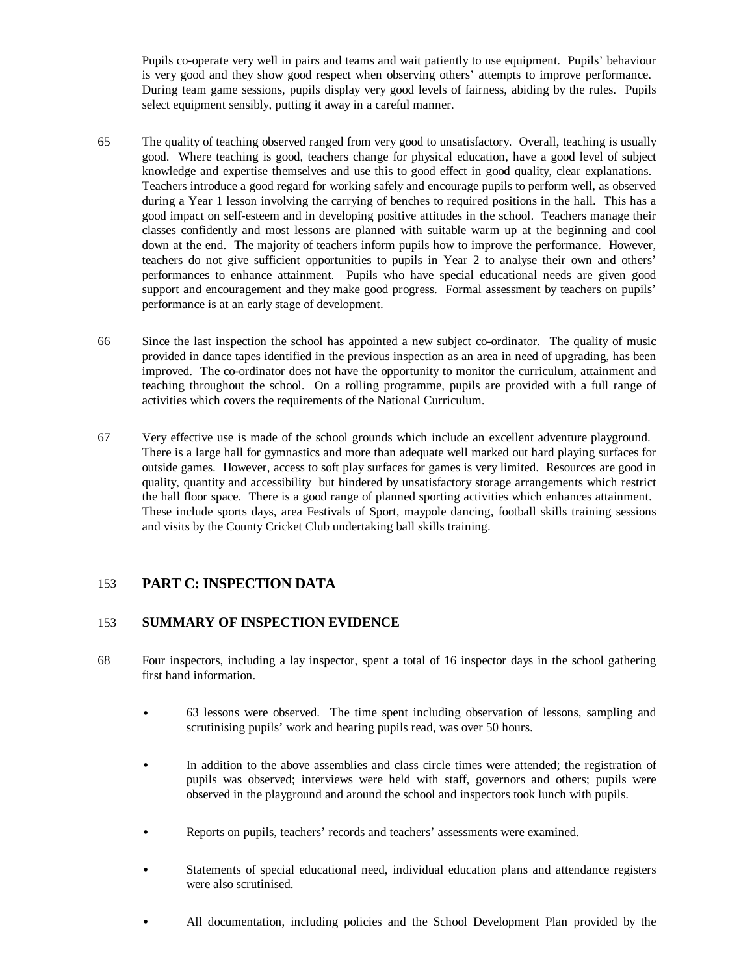Pupils co-operate very well in pairs and teams and wait patiently to use equipment. Pupils' behaviour is very good and they show good respect when observing others' attempts to improve performance. During team game sessions, pupils display very good levels of fairness, abiding by the rules. Pupils select equipment sensibly, putting it away in a careful manner.

- 65 The quality of teaching observed ranged from very good to unsatisfactory. Overall, teaching is usually good. Where teaching is good, teachers change for physical education, have a good level of subject knowledge and expertise themselves and use this to good effect in good quality, clear explanations. Teachers introduce a good regard for working safely and encourage pupils to perform well, as observed during a Year 1 lesson involving the carrying of benches to required positions in the hall. This has a good impact on self-esteem and in developing positive attitudes in the school. Teachers manage their classes confidently and most lessons are planned with suitable warm up at the beginning and cool down at the end. The majority of teachers inform pupils how to improve the performance. However, teachers do not give sufficient opportunities to pupils in Year 2 to analyse their own and others' performances to enhance attainment. Pupils who have special educational needs are given good support and encouragement and they make good progress. Formal assessment by teachers on pupils' performance is at an early stage of development.
- 66 Since the last inspection the school has appointed a new subject co-ordinator. The quality of music provided in dance tapes identified in the previous inspection as an area in need of upgrading, has been improved. The co-ordinator does not have the opportunity to monitor the curriculum, attainment and teaching throughout the school. On a rolling programme, pupils are provided with a full range of activities which covers the requirements of the National Curriculum.
- 67 Very effective use is made of the school grounds which include an excellent adventure playground. There is a large hall for gymnastics and more than adequate well marked out hard playing surfaces for outside games. However, access to soft play surfaces for games is very limited. Resources are good in quality, quantity and accessibility but hindered by unsatisfactory storage arrangements which restrict the hall floor space. There is a good range of planned sporting activities which enhances attainment. These include sports days, area Festivals of Sport, maypole dancing, football skills training sessions and visits by the County Cricket Club undertaking ball skills training.

# 153 **PART C: INSPECTION DATA**

## 153 **SUMMARY OF INSPECTION EVIDENCE**

- 68 Four inspectors, including a lay inspector, spent a total of 16 inspector days in the school gathering first hand information.
	- 63 lessons were observed. The time spent including observation of lessons, sampling and scrutinising pupils' work and hearing pupils read, was over 50 hours.
	- In addition to the above assemblies and class circle times were attended; the registration of pupils was observed; interviews were held with staff, governors and others; pupils were observed in the playground and around the school and inspectors took lunch with pupils.
	- Reports on pupils, teachers' records and teachers' assessments were examined.
	- Statements of special educational need, individual education plans and attendance registers were also scrutinised.
	- All documentation, including policies and the School Development Plan provided by the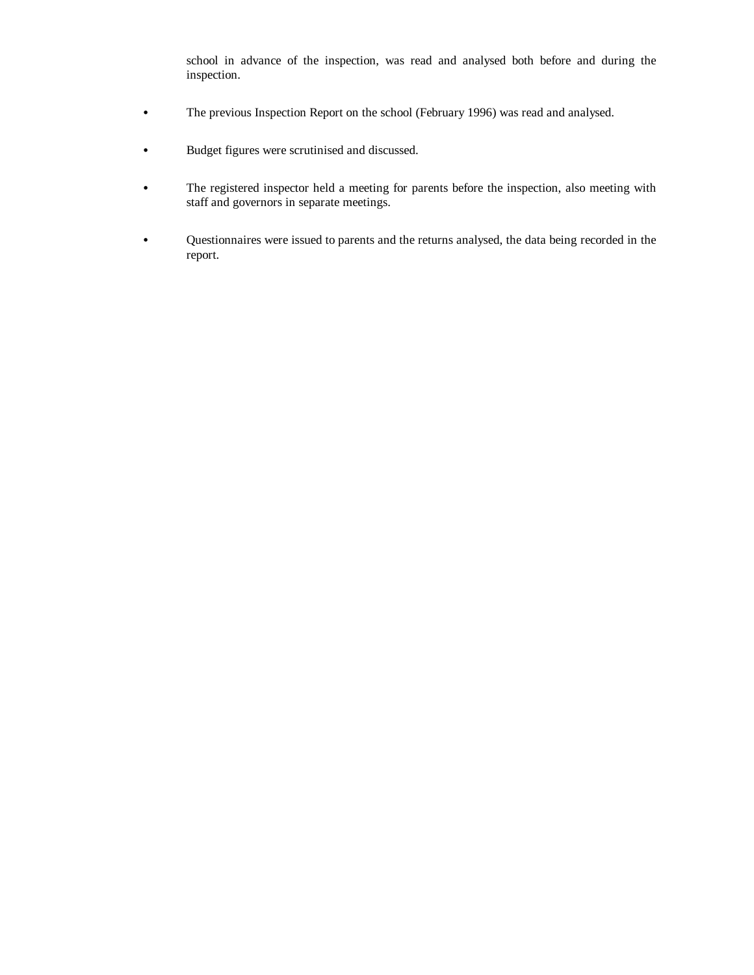school in advance of the inspection, was read and analysed both before and during the inspection.

- The previous Inspection Report on the school (February 1996) was read and analysed.
- Budget figures were scrutinised and discussed.
- The registered inspector held a meeting for parents before the inspection, also meeting with staff and governors in separate meetings.
- Questionnaires were issued to parents and the returns analysed, the data being recorded in the report.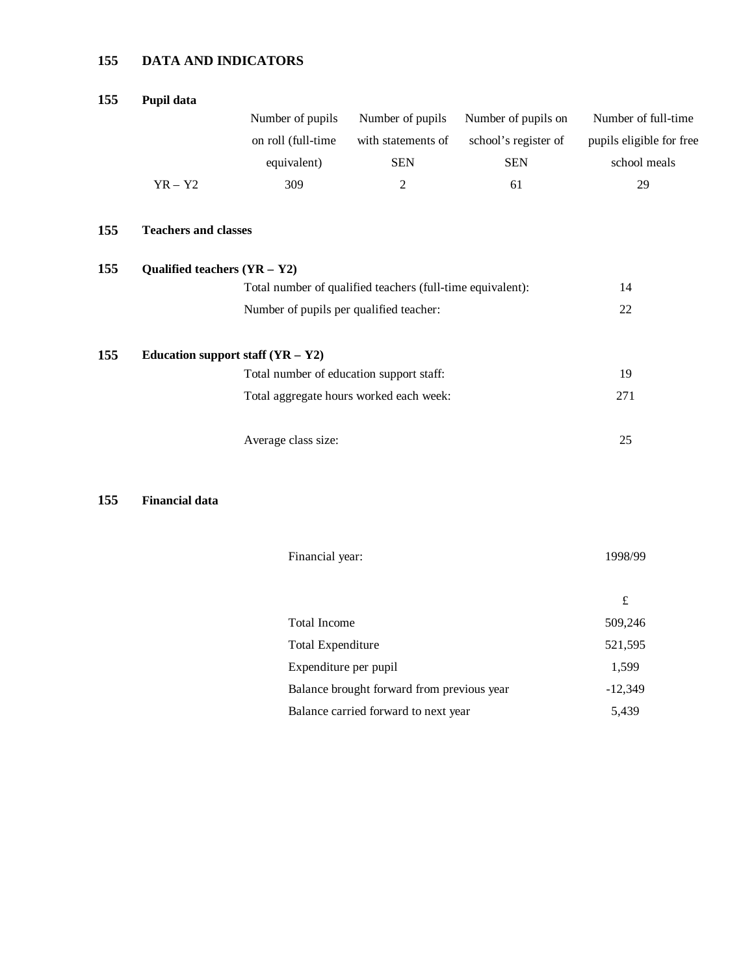# **155 DATA AND INDICATORS**

| 155 | Pupil data                                                 |                                         |                                         |                      |                          |  |
|-----|------------------------------------------------------------|-----------------------------------------|-----------------------------------------|----------------------|--------------------------|--|
|     |                                                            | Number of pupils                        | Number of pupils                        | Number of pupils on  | Number of full-time      |  |
|     |                                                            | on roll (full-time                      | with statements of                      | school's register of | pupils eligible for free |  |
|     |                                                            | equivalent)                             | <b>SEN</b>                              | <b>SEN</b>           | school meals             |  |
|     | $YR - Y2$                                                  | 309                                     | $\overline{c}$                          | 61                   | 29                       |  |
| 155 | <b>Teachers and classes</b>                                |                                         |                                         |                      |                          |  |
| 155 | Qualified teachers $(YR - Y2)$                             |                                         |                                         |                      |                          |  |
|     | Total number of qualified teachers (full-time equivalent): |                                         |                                         |                      | 14                       |  |
|     |                                                            | Number of pupils per qualified teacher: |                                         |                      | 22                       |  |
| 155 |                                                            | Education support staff $(YR - Y2)$     |                                         |                      |                          |  |
|     | Total number of education support staff:                   |                                         |                                         |                      | 19                       |  |
|     |                                                            |                                         | Total aggregate hours worked each week: |                      | 271                      |  |
|     |                                                            | Average class size:                     |                                         |                      | 25                       |  |
|     |                                                            |                                         |                                         |                      |                          |  |

# **155 Financial data**

| Financial year:                            | 1998/99   |
|--------------------------------------------|-----------|
|                                            | £         |
| Total Income                               | 509,246   |
| Total Expenditure                          | 521,595   |
| Expenditure per pupil                      | 1,599     |
| Balance brought forward from previous year | $-12,349$ |
| Balance carried forward to next year       | 5,439     |